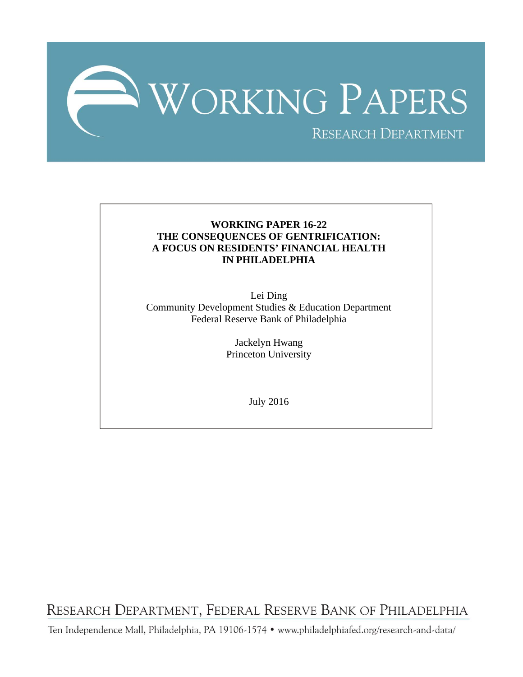

### **WORKING PAPER 16-22 THE CONSEQUENCES OF GENTRIFICATION: A FOCUS ON RESIDENTS' FINANCIAL HEALTH IN PHILADELPHIA**

Lei Ding Community Development Studies & Education Department Federal Reserve Bank of Philadelphia

> Jackelyn Hwang Princeton University

> > July 2016

RESEARCH DEPARTMENT, FEDERAL RESERVE BANK OF PHILADELPHIA

Ten Independence Mall, Philadelphia, PA 19106-1574 · www.philadelphiafed.org/research-and-data/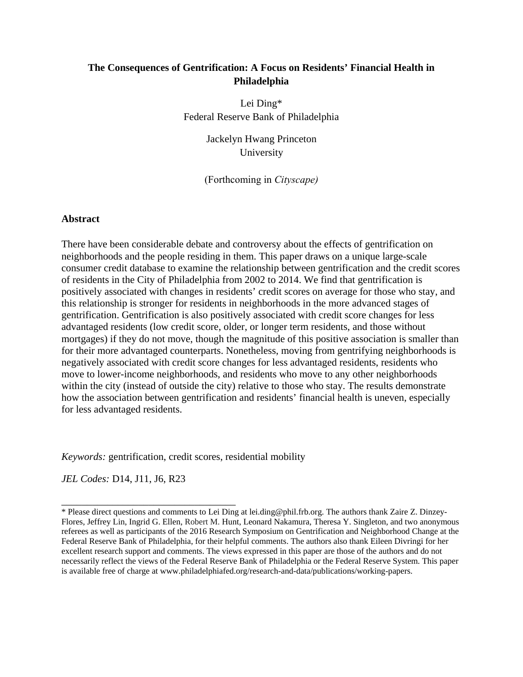### **The Consequences of Gentrification: A Focus on Residents' Financial Health in Philadelphia**

Lei Ding\* Federal Reserve Bank of Philadelphia

> Jackelyn Hwang Princeton University

(Forthcoming in *Cityscape)* 

### **Abstract**

There have been considerable debate and controversy about the effects of gentrification on neighborhoods and the people residing in them. This paper draws on a unique large-scale consumer credit database to examine the relationship between gentrification and the credit scores of residents in the City of Philadelphia from 2002 to 2014. We find that gentrification is positively associated with changes in residents' credit scores on average for those who stay, and this relationship is stronger for residents in neighborhoods in the more advanced stages of gentrification. Gentrification is also positively associated with credit score changes for less advantaged residents (low credit score, older, or longer term residents, and those without mortgages) if they do not move, though the magnitude of this positive association is smaller than for their more advantaged counterparts. Nonetheless, moving from gentrifying neighborhoods is negatively associated with credit score changes for less advantaged residents, residents who move to lower-income neighborhoods, and residents who move to any other neighborhoods within the city (instead of outside the city) relative to those who stay. The results demonstrate how the association between gentrification and residents' financial health is uneven, especially for less advantaged residents.

*Keywords:* gentrification, credit scores, residential mobility

*JEL Codes:* D14, J11, J6, R23

\_\_\_\_\_\_\_\_\_\_\_\_\_\_\_\_\_\_\_\_\_\_\_\_\_\_\_\_\_\_\_\_\_\_ \* Please direct questions and comments to Lei Ding at lei.ding@phil.frb.org. The authors thank Zaire Z. Dinzey-Flores, Jeffrey Lin, Ingrid G. Ellen, Robert M. Hunt, Leonard Nakamura, Theresa Y. Singleton, and two anonymous referees as well as participants of the 2016 Research Symposium on Gentrification and Neighborhood Change at the Federal Reserve Bank of Philadelphia, for their helpful comments. The authors also thank Eileen Divringi for her excellent research support and comments. The views expressed in this paper are those of the authors and do not necessarily reflect the views of the Federal Reserve Bank of Philadelphia or the Federal Reserve System. This paper is available free of charge at www.philadelphiafed.org/research-and-data/publications/working-papers.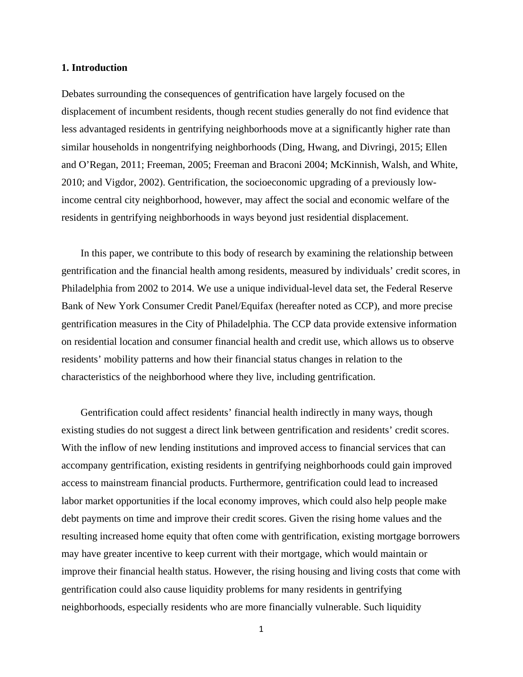### **1. Introduction**

Debates surrounding the consequences of gentrification have largely focused on the displacement of incumbent residents, though recent studies generally do not find evidence that less advantaged residents in gentrifying neighborhoods move at a significantly higher rate than similar households in nongentrifying neighborhoods (Ding, Hwang, and Divringi, 2015; Ellen and O'Regan, 2011; Freeman, 2005; Freeman and Braconi 2004; McKinnish, Walsh, and White, 2010; and Vigdor, 2002). Gentrification, the socioeconomic upgrading of a previously lowincome central city neighborhood, however, may affect the social and economic welfare of the residents in gentrifying neighborhoods in ways beyond just residential displacement.

In this paper, we contribute to this body of research by examining the relationship between gentrification and the financial health among residents, measured by individuals' credit scores, in Philadelphia from 2002 to 2014. We use a unique individual-level data set, the Federal Reserve Bank of New York Consumer Credit Panel/Equifax (hereafter noted as CCP), and more precise gentrification measures in the City of Philadelphia. The CCP data provide extensive information on residential location and consumer financial health and credit use, which allows us to observe residents' mobility patterns and how their financial status changes in relation to the characteristics of the neighborhood where they live, including gentrification.

Gentrification could affect residents' financial health indirectly in many ways, though existing studies do not suggest a direct link between gentrification and residents' credit scores. With the inflow of new lending institutions and improved access to financial services that can accompany gentrification, existing residents in gentrifying neighborhoods could gain improved access to mainstream financial products. Furthermore, gentrification could lead to increased labor market opportunities if the local economy improves, which could also help people make debt payments on time and improve their credit scores. Given the rising home values and the resulting increased home equity that often come with gentrification, existing mortgage borrowers may have greater incentive to keep current with their mortgage, which would maintain or improve their financial health status. However, the rising housing and living costs that come with gentrification could also cause liquidity problems for many residents in gentrifying neighborhoods, especially residents who are more financially vulnerable. Such liquidity

1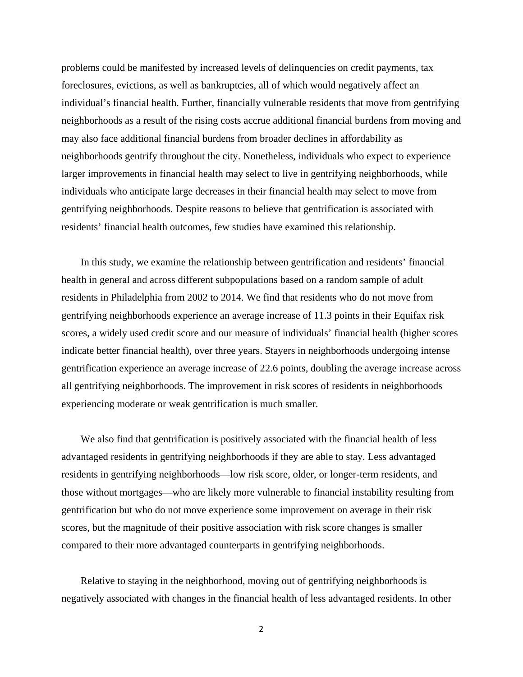problems could be manifested by increased levels of delinquencies on credit payments, tax foreclosures, evictions, as well as bankruptcies, all of which would negatively affect an individual's financial health. Further, financially vulnerable residents that move from gentrifying neighborhoods as a result of the rising costs accrue additional financial burdens from moving and may also face additional financial burdens from broader declines in affordability as neighborhoods gentrify throughout the city. Nonetheless, individuals who expect to experience larger improvements in financial health may select to live in gentrifying neighborhoods, while individuals who anticipate large decreases in their financial health may select to move from gentrifying neighborhoods. Despite reasons to believe that gentrification is associated with residents' financial health outcomes, few studies have examined this relationship.

In this study, we examine the relationship between gentrification and residents' financial health in general and across different subpopulations based on a random sample of adult residents in Philadelphia from 2002 to 2014. We find that residents who do not move from gentrifying neighborhoods experience an average increase of 11.3 points in their Equifax risk scores, a widely used credit score and our measure of individuals' financial health (higher scores indicate better financial health), over three years. Stayers in neighborhoods undergoing intense gentrification experience an average increase of 22.6 points, doubling the average increase across all gentrifying neighborhoods. The improvement in risk scores of residents in neighborhoods experiencing moderate or weak gentrification is much smaller.

We also find that gentrification is positively associated with the financial health of less advantaged residents in gentrifying neighborhoods if they are able to stay. Less advantaged residents in gentrifying neighborhoods—low risk score, older, or longer-term residents, and those without mortgages—who are likely more vulnerable to financial instability resulting from gentrification but who do not move experience some improvement on average in their risk scores, but the magnitude of their positive association with risk score changes is smaller compared to their more advantaged counterparts in gentrifying neighborhoods.

Relative to staying in the neighborhood, moving out of gentrifying neighborhoods is negatively associated with changes in the financial health of less advantaged residents. In other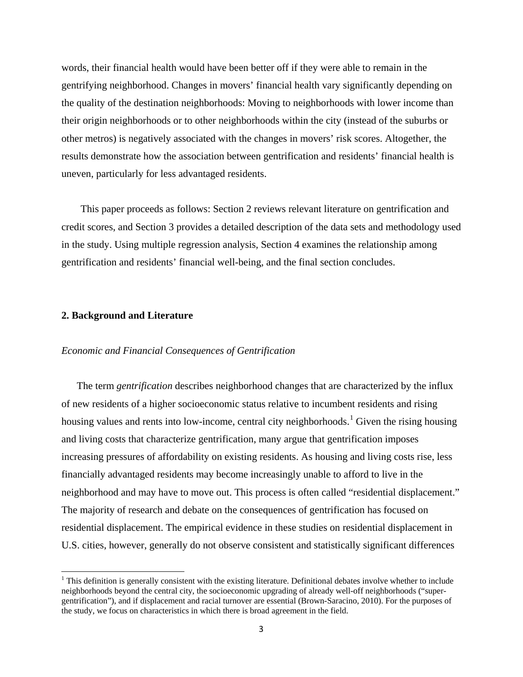words, their financial health would have been better off if they were able to remain in the gentrifying neighborhood. Changes in movers' financial health vary significantly depending on the quality of the destination neighborhoods: Moving to neighborhoods with lower income than their origin neighborhoods or to other neighborhoods within the city (instead of the suburbs or other metros) is negatively associated with the changes in movers' risk scores. Altogether, the results demonstrate how the association between gentrification and residents' financial health is uneven, particularly for less advantaged residents.

This paper proceeds as follows: Section 2 reviews relevant literature on gentrification and credit scores, and Section 3 provides a detailed description of the data sets and methodology used in the study. Using multiple regression analysis, Section 4 examines the relationship among gentrification and residents' financial well-being, and the final section concludes.

### **2. Background and Literature**

 $\overline{\phantom{a}}$ 

### *Economic and Financial Consequences of Gentrification*

The term *gentrification* describes neighborhood changes that are characterized by the influx of new residents of a higher socioeconomic status relative to incumbent residents and rising housing values and rents into low-income, central city neighborhoods.<sup>[1](#page-4-0)</sup> Given the rising housing and living costs that characterize gentrification, many argue that gentrification imposes increasing pressures of affordability on existing residents. As housing and living costs rise, less financially advantaged residents may become increasingly unable to afford to live in the neighborhood and may have to move out. This process is often called "residential displacement." The majority of research and debate on the consequences of gentrification has focused on residential displacement. The empirical evidence in these studies on residential displacement in U.S. cities, however, generally do not observe consistent and statistically significant differences

<span id="page-4-0"></span> $<sup>1</sup>$  This definition is generally consistent with the existing literature. Definitional debates involve whether to include</sup> neighborhoods beyond the central city, the socioeconomic upgrading of already well-off neighborhoods ("supergentrification"), and if displacement and racial turnover are essential (Brown-Saracino, 2010). For the purposes of the study, we focus on characteristics in which there is broad agreement in the field.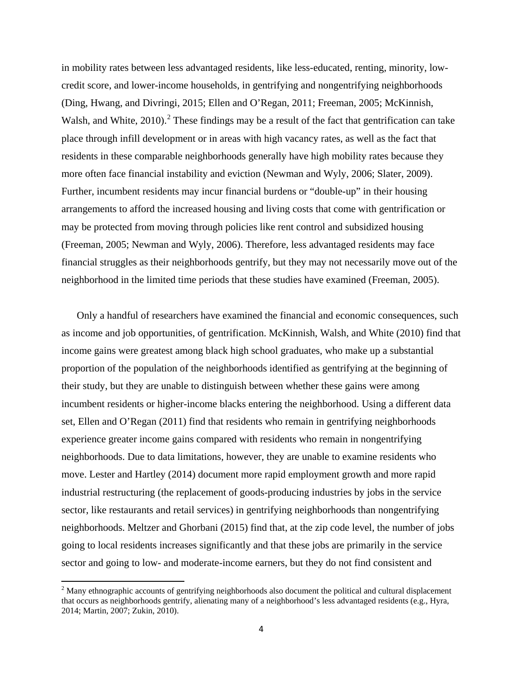in mobility rates between less advantaged residents, like less-educated, renting, minority, lowcredit score, and lower-income households, in gentrifying and nongentrifying neighborhoods (Ding, Hwang, and Divringi, 2015; Ellen and O'Regan, 2011; Freeman, 2005; McKinnish, Walsh, and White,  $2010$  $2010$ ).<sup>2</sup> These findings may be a result of the fact that gentrification can take place through infill development or in areas with high vacancy rates, as well as the fact that residents in these comparable neighborhoods generally have high mobility rates because they more often face financial instability and eviction (Newman and Wyly, 2006; Slater, 2009). Further, incumbent residents may incur financial burdens or "double-up" in their housing arrangements to afford the increased housing and living costs that come with gentrification or may be protected from moving through policies like rent control and subsidized housing (Freeman, 2005; Newman and Wyly, 2006). Therefore, less advantaged residents may face financial struggles as their neighborhoods gentrify, but they may not necessarily move out of the neighborhood in the limited time periods that these studies have examined (Freeman, 2005).

Only a handful of researchers have examined the financial and economic consequences, such as income and job opportunities, of gentrification. McKinnish, Walsh, and White (2010) find that income gains were greatest among black high school graduates, who make up a substantial proportion of the population of the neighborhoods identified as gentrifying at the beginning of their study, but they are unable to distinguish between whether these gains were among incumbent residents or higher-income blacks entering the neighborhood. Using a different data set, Ellen and O'Regan (2011) find that residents who remain in gentrifying neighborhoods experience greater income gains compared with residents who remain in nongentrifying neighborhoods. Due to data limitations, however, they are unable to examine residents who move. Lester and Hartley (2014) document more rapid employment growth and more rapid industrial restructuring (the replacement of goods-producing industries by jobs in the service sector, like restaurants and retail services) in gentrifying neighborhoods than nongentrifying neighborhoods. Meltzer and Ghorbani (2015) find that, at the zip code level, the number of jobs going to local residents increases significantly and that these jobs are primarily in the service sector and going to low- and moderate-income earners, but they do not find consistent and

l

<span id="page-5-0"></span><sup>&</sup>lt;sup>2</sup> Many ethnographic accounts of gentrifying neighborhoods also document the political and cultural displacement that occurs as neighborhoods gentrify, alienating many of a neighborhood's less advantaged residents (e.g., Hyra, 2014; Martin, 2007; Zukin, 2010).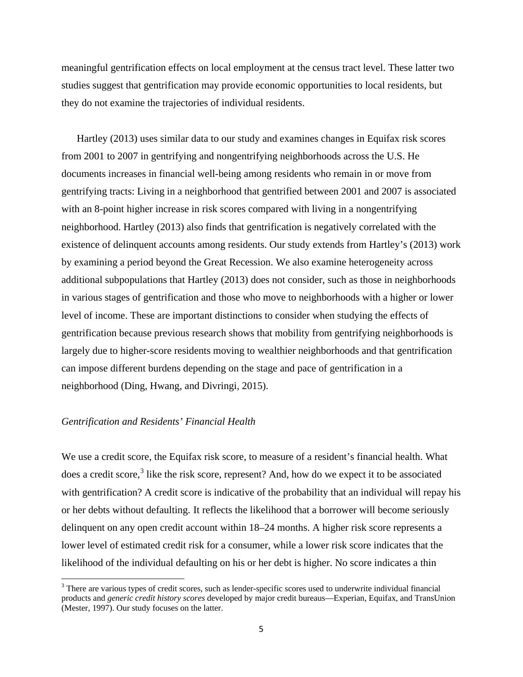meaningful gentrification effects on local employment at the census tract level. These latter two studies suggest that gentrification may provide economic opportunities to local residents, but they do not examine the trajectories of individual residents.

Hartley (2013) uses similar data to our study and examines changes in Equifax risk scores from 2001 to 2007 in gentrifying and nongentrifying neighborhoods across the U.S. He documents increases in financial well-being among residents who remain in or move from gentrifying tracts: Living in a neighborhood that gentrified between 2001 and 2007 is associated with an 8-point higher increase in risk scores compared with living in a nongentrifying neighborhood. Hartley (2013) also finds that gentrification is negatively correlated with the existence of delinquent accounts among residents. Our study extends from Hartley's (2013) work by examining a period beyond the Great Recession. We also examine heterogeneity across additional subpopulations that Hartley (2013) does not consider, such as those in neighborhoods in various stages of gentrification and those who move to neighborhoods with a higher or lower level of income. These are important distinctions to consider when studying the effects of gentrification because previous research shows that mobility from gentrifying neighborhoods is largely due to higher-score residents moving to wealthier neighborhoods and that gentrification can impose different burdens depending on the stage and pace of gentrification in a neighborhood (Ding, Hwang, and Divringi, 2015).

### *Gentrification and Residents' Financial Health*

l

We use a credit score, the Equifax risk score, to measure of a resident's financial health. What does a credit score, $3$  like the risk score, represent? And, how do we expect it to be associated with gentrification? A credit score is indicative of the probability that an individual will repay his or her debts without defaulting. It reflects the likelihood that a borrower will become seriously delinquent on any open credit account within 18–24 months. A higher risk score represents a lower level of estimated credit risk for a consumer, while a lower risk score indicates that the likelihood of the individual defaulting on his or her debt is higher. No score indicates a thin

<span id="page-6-0"></span><sup>&</sup>lt;sup>3</sup> There are various types of credit scores, such as lender-specific scores used to underwrite individual financial products and *generic credit history scores* developed by major credit bureaus—Experian, Equifax, and TransUnion (Mester, 1997). Our study focuses on the latter.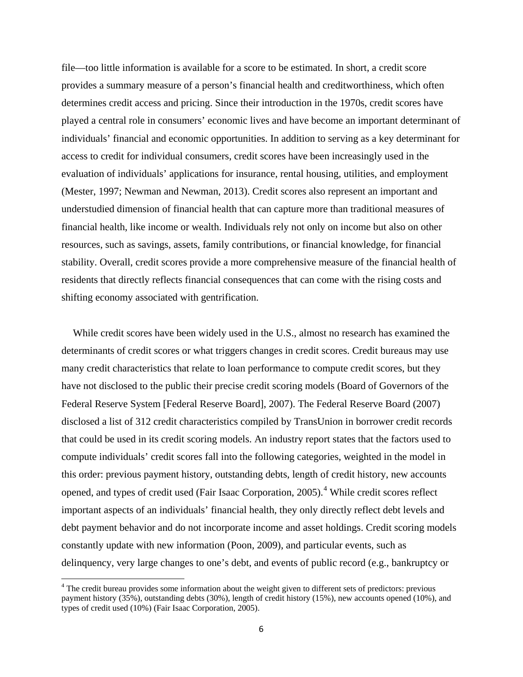file—too little information is available for a score to be estimated. In short, a credit score provides a summary measure of a person's financial health and creditworthiness, which often determines credit access and pricing. Since their introduction in the 1970s, credit scores have played a central role in consumers' economic lives and have become an important determinant of individuals' financial and economic opportunities. In addition to serving as a key determinant for access to credit for individual consumers, credit scores have been increasingly used in the evaluation of individuals' applications for insurance, rental housing, utilities, and employment (Mester, 1997; Newman and Newman, 2013). Credit scores also represent an important and understudied dimension of financial health that can capture more than traditional measures of financial health, like income or wealth. Individuals rely not only on income but also on other resources, such as savings, assets, family contributions, or financial knowledge, for financial stability. Overall, credit scores provide a more comprehensive measure of the financial health of residents that directly reflects financial consequences that can come with the rising costs and shifting economy associated with gentrification.

While credit scores have been widely used in the U.S., almost no research has examined the determinants of credit scores or what triggers changes in credit scores. Credit bureaus may use many credit characteristics that relate to loan performance to compute credit scores, but they have not disclosed to the public their precise credit scoring models (Board of Governors of the Federal Reserve System [Federal Reserve Board], 2007). The Federal Reserve Board (2007) disclosed a list of 312 credit characteristics compiled by TransUnion in borrower credit records that could be used in its credit scoring models. An industry report states that the factors used to compute individuals' credit scores fall into the following categories, weighted in the model in this order: previous payment history, outstanding debts, length of credit history, new accounts opened, and types of credit used (Fair Isaac Corporation, 2005).<sup>[4](#page-7-0)</sup> While credit scores reflect important aspects of an individuals' financial health, they only directly reflect debt levels and debt payment behavior and do not incorporate income and asset holdings. Credit scoring models constantly update with new information (Poon, 2009), and particular events, such as delinquency, very large changes to one's debt, and events of public record (e.g., bankruptcy or

l

<span id="page-7-0"></span><sup>&</sup>lt;sup>4</sup> The credit bureau provides some information about the weight given to different sets of predictors: previous payment history (35%), outstanding debts (30%), length of credit history (15%), new accounts opened (10%), and types of credit used (10%) (Fair Isaac Corporation, 2005).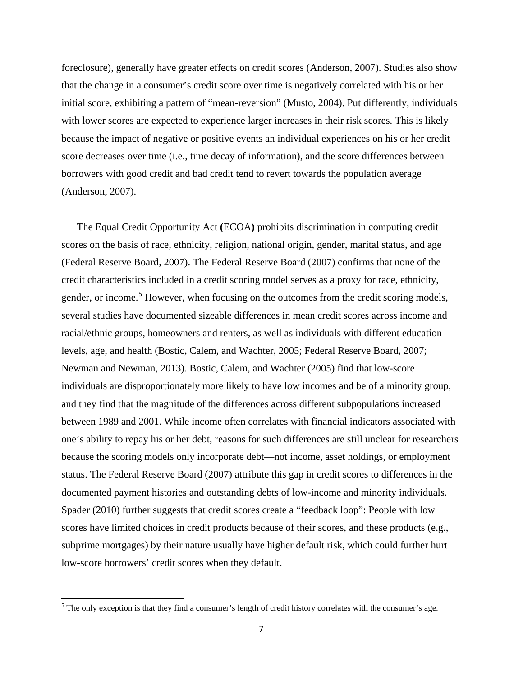foreclosure), generally have greater effects on credit scores (Anderson, 2007). Studies also show that the change in a consumer's credit score over time is negatively correlated with his or her initial score, exhibiting a pattern of "mean-reversion" (Musto, 2004). Put differently, individuals with lower scores are expected to experience larger increases in their risk scores. This is likely because the impact of negative or positive events an individual experiences on his or her credit score decreases over time (i.e., time decay of information), and the score differences between borrowers with good credit and bad credit tend to revert towards the population average (Anderson, 2007).

The Equal Credit Opportunity Act **(**ECOA**)** prohibits discrimination in computing credit scores on the basis of race, ethnicity, religion, national origin, gender, marital status, and age (Federal Reserve Board, 2007). The Federal Reserve Board (2007) confirms that none of the credit characteristics included in a credit scoring model serves as a proxy for race, ethnicity, gender, or income.<sup>[5](#page-8-0)</sup> However, when focusing on the outcomes from the credit scoring models, several studies have documented sizeable differences in mean credit scores across income and racial/ethnic groups, homeowners and renters, as well as individuals with different education levels, age, and health (Bostic, Calem, and Wachter, 2005; Federal Reserve Board, 2007; Newman and Newman, 2013). Bostic, Calem, and Wachter (2005) find that low-score individuals are disproportionately more likely to have low incomes and be of a minority group, and they find that the magnitude of the differences across different subpopulations increased between 1989 and 2001. While income often correlates with financial indicators associated with one's ability to repay his or her debt, reasons for such differences are still unclear for researchers because the scoring models only incorporate debt—not income, asset holdings, or employment status. The Federal Reserve Board (2007) attribute this gap in credit scores to differences in the documented payment histories and outstanding debts of low-income and minority individuals. Spader (2010) further suggests that credit scores create a "feedback loop": People with low scores have limited choices in credit products because of their scores, and these products (e.g., subprime mortgages) by their nature usually have higher default risk, which could further hurt low-score borrowers' credit scores when they default.

 $\overline{\phantom{a}}$ 

<span id="page-8-0"></span> $<sup>5</sup>$  The only exception is that they find a consumer's length of credit history correlates with the consumer's age.</sup>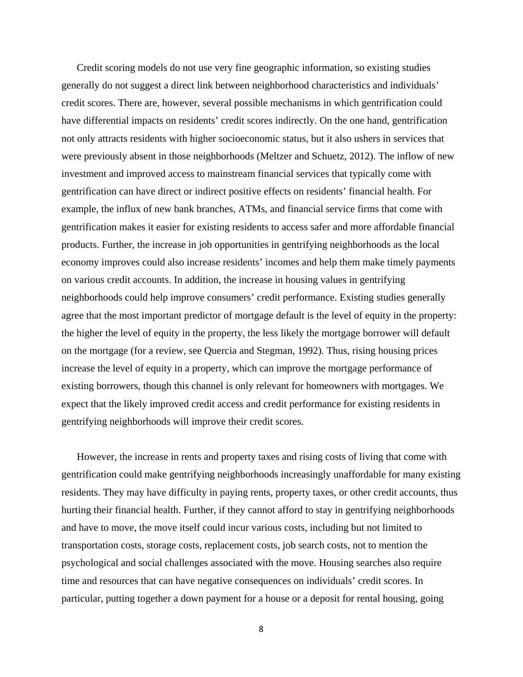Credit scoring models do not use very fine geographic information, so existing studies generally do not suggest a direct link between neighborhood characteristics and individuals' credit scores. There are, however, several possible mechanisms in which gentrification could have differential impacts on residents' credit scores indirectly. On the one hand, gentrification not only attracts residents with higher socioeconomic status, but it also ushers in services that were previously absent in those neighborhoods (Meltzer and Schuetz, 2012). The inflow of new investment and improved access to mainstream financial services that typically come with gentrification can have direct or indirect positive effects on residents' financial health. For example, the influx of new bank branches, ATMs, and financial service firms that come with gentrification makes it easier for existing residents to access safer and more affordable financial products. Further, the increase in job opportunities in gentrifying neighborhoods as the local economy improves could also increase residents' incomes and help them make timely payments on various credit accounts. In addition, the increase in housing values in gentrifying neighborhoods could help improve consumers' credit performance. Existing studies generally agree that the most important predictor of mortgage default is the level of equity in the property: the higher the level of equity in the property, the less likely the mortgage borrower will default on the mortgage (for a review, see Quercia and Stegman, 1992). Thus, rising housing prices increase the level of equity in a property, which can improve the mortgage performance of existing borrowers, though this channel is only relevant for homeowners with mortgages. We expect that the likely improved credit access and credit performance for existing residents in gentrifying neighborhoods will improve their credit scores.

However, the increase in rents and property taxes and rising costs of living that come with gentrification could make gentrifying neighborhoods increasingly unaffordable for many existing residents. They may have difficulty in paying rents, property taxes, or other credit accounts, thus hurting their financial health. Further, if they cannot afford to stay in gentrifying neighborhoods and have to move, the move itself could incur various costs, including but not limited to transportation costs, storage costs, replacement costs, job search costs, not to mention the psychological and social challenges associated with the move. Housing searches also require time and resources that can have negative consequences on individuals' credit scores. In particular, putting together a down payment for a house or a deposit for rental housing, going

8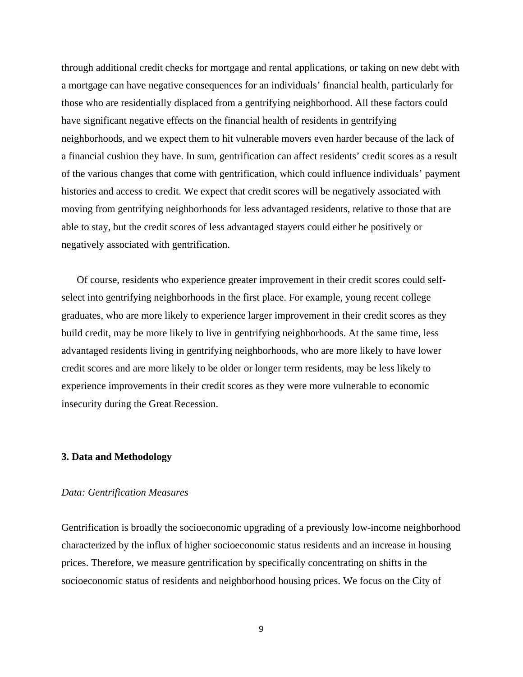through additional credit checks for mortgage and rental applications, or taking on new debt with a mortgage can have negative consequences for an individuals' financial health, particularly for those who are residentially displaced from a gentrifying neighborhood. All these factors could have significant negative effects on the financial health of residents in gentrifying neighborhoods, and we expect them to hit vulnerable movers even harder because of the lack of a financial cushion they have. In sum, gentrification can affect residents' credit scores as a result of the various changes that come with gentrification, which could influence individuals' payment histories and access to credit. We expect that credit scores will be negatively associated with moving from gentrifying neighborhoods for less advantaged residents, relative to those that are able to stay, but the credit scores of less advantaged stayers could either be positively or negatively associated with gentrification.

Of course, residents who experience greater improvement in their credit scores could selfselect into gentrifying neighborhoods in the first place. For example, young recent college graduates, who are more likely to experience larger improvement in their credit scores as they build credit, may be more likely to live in gentrifying neighborhoods. At the same time, less advantaged residents living in gentrifying neighborhoods, who are more likely to have lower credit scores and are more likely to be older or longer term residents, may be less likely to experience improvements in their credit scores as they were more vulnerable to economic insecurity during the Great Recession.

### **3. Data and Methodology**

### *Data: Gentrification Measures*

Gentrification is broadly the socioeconomic upgrading of a previously low-income neighborhood characterized by the influx of higher socioeconomic status residents and an increase in housing prices. Therefore, we measure gentrification by specifically concentrating on shifts in the socioeconomic status of residents and neighborhood housing prices. We focus on the City of

9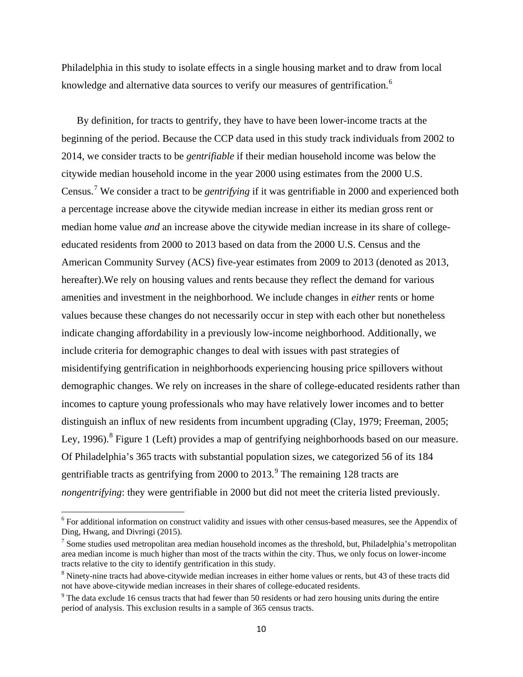Philadelphia in this study to isolate effects in a single housing market and to draw from local knowledge and alternative data sources to verify our measures of gentrification.<sup>[6](#page-11-0)</sup>

By definition, for tracts to gentrify, they have to have been lower-income tracts at the beginning of the period. Because the CCP data used in this study track individuals from 2002 to 2014, we consider tracts to be *gentrifiable* if their median household income was below the citywide median household income in the year 2000 using estimates from the 2000 U.S. Census. [7](#page-11-1) We consider a tract to be *gentrifying* if it was gentrifiable in 2000 and experienced both a percentage increase above the citywide median increase in either its median gross rent or median home value *and* an increase above the citywide median increase in its share of collegeeducated residents from 2000 to 2013 based on data from the 2000 U.S. Census and the American Community Survey (ACS) five-year estimates from 2009 to 2013 (denoted as 2013, hereafter).We rely on housing values and rents because they reflect the demand for various amenities and investment in the neighborhood. We include changes in *either* rents or home values because these changes do not necessarily occur in step with each other but nonetheless indicate changing affordability in a previously low-income neighborhood. Additionally, we include criteria for demographic changes to deal with issues with past strategies of misidentifying gentrification in neighborhoods experiencing housing price spillovers without demographic changes. We rely on increases in the share of college-educated residents rather than incomes to capture young professionals who may have relatively lower incomes and to better distinguish an influx of new residents from incumbent upgrading (Clay, 1979; Freeman, 2005; Ley, 1996).<sup>[8](#page-11-2)</sup> Figure 1 (Left) provides a map of gentrifying neighborhoods based on our measure. Of Philadelphia's 365 tracts with substantial population sizes, we categorized 56 of its 184 gentrifiable tracts as gentrifying from 2000 to  $2013.<sup>9</sup>$  $2013.<sup>9</sup>$  $2013.<sup>9</sup>$  The remaining 128 tracts are *nongentrifying*: they were gentrifiable in 2000 but did not meet the criteria listed previously.

l

<span id="page-11-0"></span><sup>6</sup> For additional information on construct validity and issues with other census-based measures, see the Appendix of Ding, Hwang, and Divringi (2015).

<span id="page-11-1"></span> $<sup>7</sup>$  Some studies used metropolitan area median household incomes as the threshold, but, Philadelphia's metropolitan</sup> area median income is much higher than most of the tracts within the city. Thus, we only focus on lower-income tracts relative to the city to identify gentrification in this study.

<span id="page-11-2"></span> $8$  Ninety-nine tracts had above-citywide median increases in either home values or rents, but 43 of these tracts did not have above-citywide median increases in their shares of college-educated residents.

<span id="page-11-3"></span> $\degree$  The data exclude 16 census tracts that had fewer than 50 residents or had zero housing units during the entire period of analysis. This exclusion results in a sample of 365 census tracts.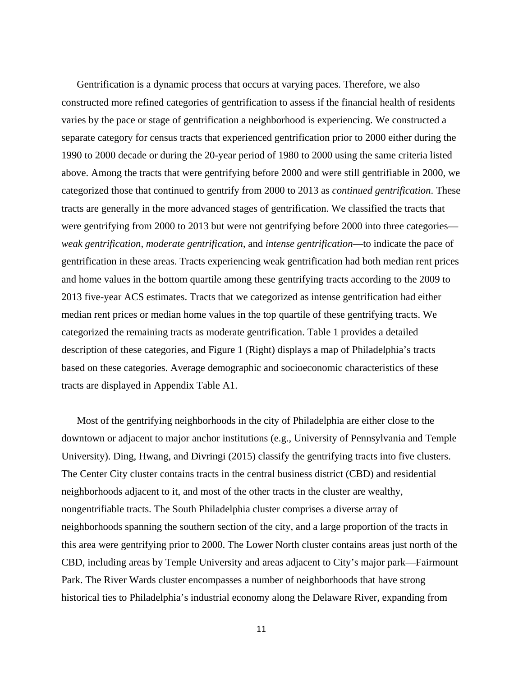Gentrification is a dynamic process that occurs at varying paces. Therefore, we also constructed more refined categories of gentrification to assess if the financial health of residents varies by the pace or stage of gentrification a neighborhood is experiencing. We constructed a separate category for census tracts that experienced gentrification prior to 2000 either during the 1990 to 2000 decade or during the 20-year period of 1980 to 2000 using the same criteria listed above. Among the tracts that were gentrifying before 2000 and were still gentrifiable in 2000, we categorized those that continued to gentrify from 2000 to 2013 as *continued gentrification*. These tracts are generally in the more advanced stages of gentrification. We classified the tracts that were gentrifying from 2000 to 2013 but were not gentrifying before 2000 into three categories *weak gentrification*, *moderate gentrification*, and *intense gentrification*—to indicate the pace of gentrification in these areas. Tracts experiencing weak gentrification had both median rent prices and home values in the bottom quartile among these gentrifying tracts according to the 2009 to 2013 five-year ACS estimates. Tracts that we categorized as intense gentrification had either median rent prices or median home values in the top quartile of these gentrifying tracts. We categorized the remaining tracts as moderate gentrification. Table 1 provides a detailed description of these categories, and Figure 1 (Right) displays a map of Philadelphia's tracts based on these categories. Average demographic and socioeconomic characteristics of these tracts are displayed in Appendix Table A1.

Most of the gentrifying neighborhoods in the city of Philadelphia are either close to the downtown or adjacent to major anchor institutions (e.g., University of Pennsylvania and Temple University). Ding, Hwang, and Divringi (2015) classify the gentrifying tracts into five clusters. The Center City cluster contains tracts in the central business district (CBD) and residential neighborhoods adjacent to it, and most of the other tracts in the cluster are wealthy, nongentrifiable tracts. The South Philadelphia cluster comprises a diverse array of neighborhoods spanning the southern section of the city, and a large proportion of the tracts in this area were gentrifying prior to 2000. The Lower North cluster contains areas just north of the CBD, including areas by Temple University and areas adjacent to City's major park—Fairmount Park. The River Wards cluster encompasses a number of neighborhoods that have strong historical ties to Philadelphia's industrial economy along the Delaware River, expanding from

11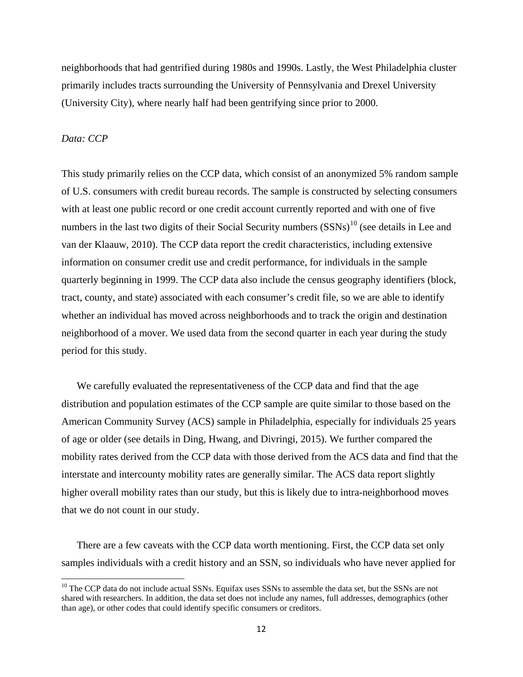neighborhoods that had gentrified during 1980s and 1990s. Lastly, the West Philadelphia cluster primarily includes tracts surrounding the University of Pennsylvania and Drexel University (University City), where nearly half had been gentrifying since prior to 2000.

### *Data: CCP*

l

This study primarily relies on the CCP data, which consist of an anonymized 5% random sample of U.S. consumers with credit bureau records. The sample is constructed by selecting consumers with at least one public record or one credit account currently reported and with one of five numbers in the last two digits of their Social Security numbers  $(SSNs)^{10}$  $(SSNs)^{10}$  $(SSNs)^{10}$  (see details in Lee and van der Klaauw, 2010). The CCP data report the credit characteristics, including extensive information on consumer credit use and credit performance, for individuals in the sample quarterly beginning in 1999. The CCP data also include the census geography identifiers (block, tract, county, and state) associated with each consumer's credit file, so we are able to identify whether an individual has moved across neighborhoods and to track the origin and destination neighborhood of a mover. We used data from the second quarter in each year during the study period for this study.

We carefully evaluated the representativeness of the CCP data and find that the age distribution and population estimates of the CCP sample are quite similar to those based on the American Community Survey (ACS) sample in Philadelphia, especially for individuals 25 years of age or older (see details in Ding, Hwang, and Divringi, 2015). We further compared the mobility rates derived from the CCP data with those derived from the ACS data and find that the interstate and intercounty mobility rates are generally similar. The ACS data report slightly higher overall mobility rates than our study, but this is likely due to intra-neighborhood moves that we do not count in our study.

There are a few caveats with the CCP data worth mentioning. First, the CCP data set only samples individuals with a credit history and an SSN, so individuals who have never applied for

<span id="page-13-0"></span><sup>&</sup>lt;sup>10</sup> The CCP data do not include actual SSNs. Equifax uses SSNs to assemble the data set, but the SSNs are not shared with researchers. In addition, the data set does not include any names, full addresses, demographics (other than age), or other codes that could identify specific consumers or creditors.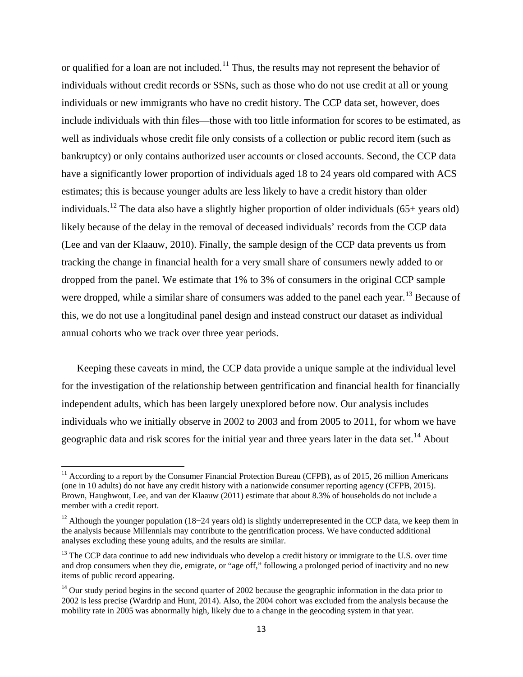or qualified for a loan are not included.<sup>[11](#page-14-0)</sup> Thus, the results may not represent the behavior of individuals without credit records or SSNs, such as those who do not use credit at all or young individuals or new immigrants who have no credit history. The CCP data set, however, does include individuals with thin files—those with too little information for scores to be estimated, as well as individuals whose credit file only consists of a collection or public record item (such as bankruptcy) or only contains authorized user accounts or closed accounts. Second, the CCP data have a significantly lower proportion of individuals aged 18 to 24 years old compared with ACS estimates; this is because younger adults are less likely to have a credit history than older individuals.<sup>[12](#page-14-1)</sup> The data also have a slightly higher proportion of older individuals (65+ years old) likely because of the delay in the removal of deceased individuals' records from the CCP data (Lee and van der Klaauw, 2010). Finally, the sample design of the CCP data prevents us from tracking the change in financial health for a very small share of consumers newly added to or dropped from the panel. We estimate that 1% to 3% of consumers in the original CCP sample were dropped, while a similar share of consumers was added to the panel each year.<sup>[13](#page-14-2)</sup> Because of this, we do not use a longitudinal panel design and instead construct our dataset as individual annual cohorts who we track over three year periods.

Keeping these caveats in mind, the CCP data provide a unique sample at the individual level for the investigation of the relationship between gentrification and financial health for financially independent adults, which has been largely unexplored before now. Our analysis includes individuals who we initially observe in 2002 to 2003 and from 2005 to 2011, for whom we have geographic data and risk scores for the initial year and three years later in the data set.<sup>[14](#page-14-3)</sup> About

 $\overline{\phantom{a}}$ 

<span id="page-14-0"></span><sup>&</sup>lt;sup>11</sup> According to a report by the Consumer Financial Protection Bureau (CFPB), as of 2015, 26 million Americans (one in 10 adults) do not have any credit history with a nationwide consumer reporting agency (CFPB, 2015). Brown, Haughwout, Lee, and van der Klaauw (2011) estimate that about 8.3% of households do not include a member with a credit report.

<span id="page-14-1"></span><sup>&</sup>lt;sup>12</sup> Although the younger population (18−24 years old) is slightly underrepresented in the CCP data, we keep them in the analysis because Millennials may contribute to the gentrification process. We have conducted additional analyses excluding these young adults, and the results are similar.

<span id="page-14-2"></span> $13$  The CCP data continue to add new individuals who develop a credit history or immigrate to the U.S. over time and drop consumers when they die, emigrate, or "age off," following a prolonged period of inactivity and no new items of public record appearing.

<span id="page-14-3"></span><sup>&</sup>lt;sup>14</sup> Our study period begins in the second quarter of 2002 because the geographic information in the data prior to 2002 is less precise (Wardrip and Hunt, 2014). Also, the 2004 cohort was excluded from the analysis because the mobility rate in 2005 was abnormally high, likely due to a change in the geocoding system in that year.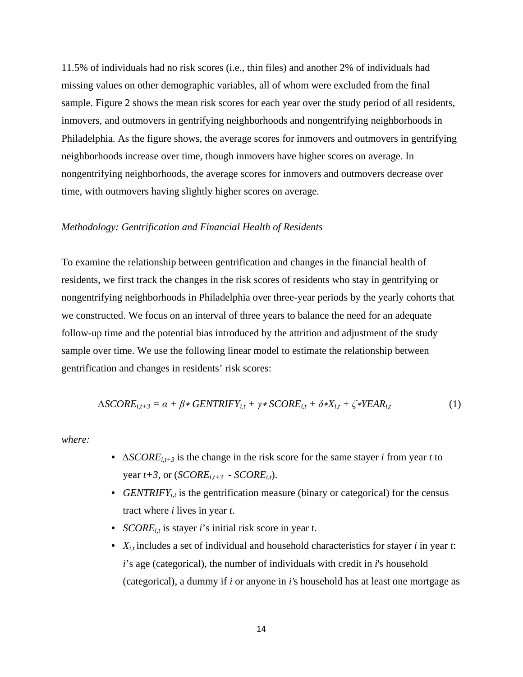11.5% of individuals had no risk scores (i.e., thin files) and another 2% of individuals had missing values on other demographic variables, all of whom were excluded from the final sample. Figure 2 shows the mean risk scores for each year over the study period of all residents, inmovers, and outmovers in gentrifying neighborhoods and nongentrifying neighborhoods in Philadelphia. As the figure shows, the average scores for inmovers and outmovers in gentrifying neighborhoods increase over time, though inmovers have higher scores on average. In nongentrifying neighborhoods, the average scores for inmovers and outmovers decrease over time, with outmovers having slightly higher scores on average.

### *Methodology: Gentrification and Financial Health of Residents*

To examine the relationship between gentrification and changes in the financial health of residents, we first track the changes in the risk scores of residents who stay in gentrifying or nongentrifying neighborhoods in Philadelphia over three-year periods by the yearly cohorts that we constructed. We focus on an interval of three years to balance the need for an adequate follow-up time and the potential bias introduced by the attrition and adjustment of the study sample over time. We use the following linear model to estimate the relationship between gentrification and changes in residents' risk scores:

$$
\Delta SCORE_{i,t+3} = \alpha + \beta * GENTRIFY_{i,t} + \gamma * SCORE_{i,t} + \delta *X_{i,t} + \zeta * YEAR_{i,t}
$$
 (1)

*where:*

- *∆SCOREi,t+3* is the change in the risk score for the same stayer *i* from year *t* to year  $t+3$ , or (*SCORE*<sub>it+3</sub> - *SCORE*<sub>it</sub>).
- *GENTRIFY<sub>it</sub>* is the gentrification measure (binary or categorical) for the census tract where *i* lives in year *t*.
- *SCORE*<sub>*it*</sub> is stayer *i*'s initial risk score in year t.
- *Xi,t* includes a set of individual and household characteristics for stayer *i* in year *t*: *i*'s age (categorical), the number of individuals with credit in *i*'s household (categorical), a dummy if *i* or anyone in *i'*s household has at least one mortgage as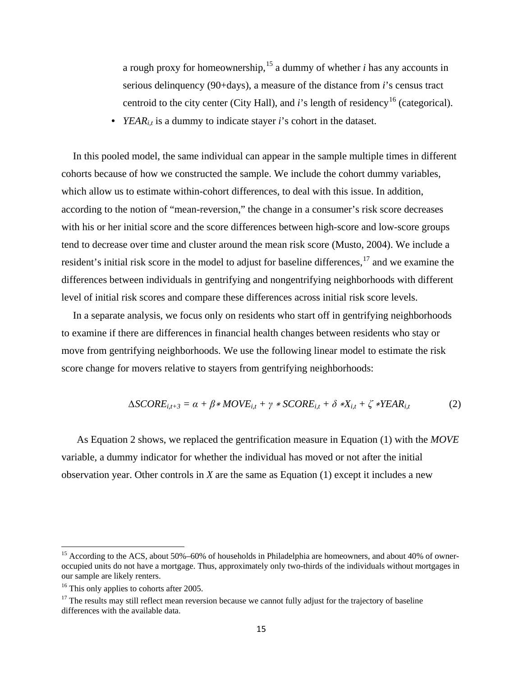a rough proxy for homeownership, [15](#page-16-0) a dummy of whether *i* has any accounts in serious delinquency (90+days), a measure of the distance from *i*'s census tract centroid to the city center (City Hall), and *i*'s length of residency<sup>[16](#page-16-1)</sup> (categorical).

• *YEAR<sub>it</sub>* is a dummy to indicate stayer *i*'s cohort in the dataset.

In this pooled model, the same individual can appear in the sample multiple times in different cohorts because of how we constructed the sample. We include the cohort dummy variables, which allow us to estimate within-cohort differences, to deal with this issue. In addition, according to the notion of "mean-reversion," the change in a consumer's risk score decreases with his or her initial score and the score differences between high-score and low-score groups tend to decrease over time and cluster around the mean risk score (Musto, 2004). We include a resident's initial risk score in the model to adjust for baseline differences,<sup>[17](#page-16-2)</sup> and we examine the differences between individuals in gentrifying and nongentrifying neighborhoods with different level of initial risk scores and compare these differences across initial risk score levels.

In a separate analysis, we focus only on residents who start off in gentrifying neighborhoods to examine if there are differences in financial health changes between residents who stay or move from gentrifying neighborhoods. We use the following linear model to estimate the risk score change for movers relative to stayers from gentrifying neighborhoods:

$$
\Delta SCORE_{i,t+3} = \alpha + \beta * MOVE_{i,t} + \gamma * SCORE_{i,t} + \delta *X_{i,t} + \zeta * YEAR_{i,t}
$$
 (2)

As Equation 2 shows, we replaced the gentrification measure in Equation (1) with the *MOVE* variable, a dummy indicator for whether the individual has moved or not after the initial observation year. Other controls in *X* are the same as Equation (1) except it includes a new

l

<span id="page-16-0"></span><sup>&</sup>lt;sup>15</sup> According to the ACS, about 50%–60% of households in Philadelphia are homeowners, and about 40% of owneroccupied units do not have a mortgage. Thus, approximately only two-thirds of the individuals without mortgages in our sample are likely renters.

<span id="page-16-2"></span><span id="page-16-1"></span><sup>&</sup>lt;sup>16</sup> This only applies to cohorts after 2005.<br><sup>17</sup> The results may still reflect mean reversion because we cannot fully adjust for the trajectory of baseline differences with the available data.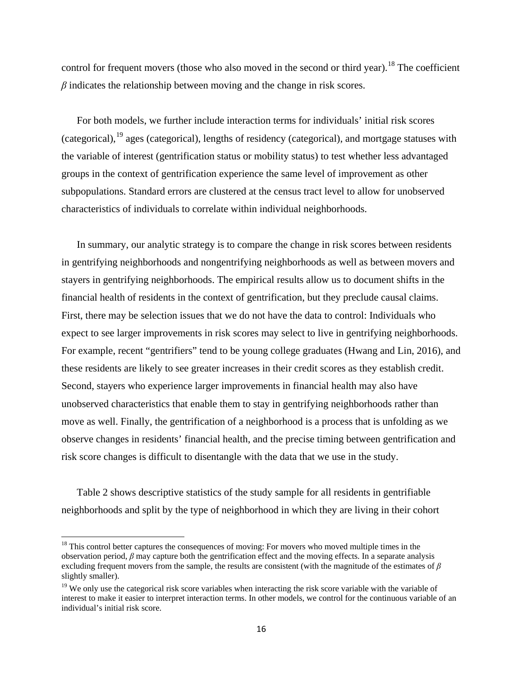control for frequent movers (those who also moved in the second or third year).<sup>[18](#page-17-0)</sup> The coefficient *β* indicates the relationship between moving and the change in risk scores.

For both models, we further include interaction terms for individuals' initial risk scores (categorical), <sup>[19](#page-17-1)</sup> ages (categorical), lengths of residency (categorical), and mortgage statuses with the variable of interest (gentrification status or mobility status) to test whether less advantaged groups in the context of gentrification experience the same level of improvement as other subpopulations. Standard errors are clustered at the census tract level to allow for unobserved characteristics of individuals to correlate within individual neighborhoods.

In summary, our analytic strategy is to compare the change in risk scores between residents in gentrifying neighborhoods and nongentrifying neighborhoods as well as between movers and stayers in gentrifying neighborhoods. The empirical results allow us to document shifts in the financial health of residents in the context of gentrification, but they preclude causal claims. First, there may be selection issues that we do not have the data to control: Individuals who expect to see larger improvements in risk scores may select to live in gentrifying neighborhoods. For example, recent "gentrifiers" tend to be young college graduates (Hwang and Lin, 2016), and these residents are likely to see greater increases in their credit scores as they establish credit. Second, stayers who experience larger improvements in financial health may also have unobserved characteristics that enable them to stay in gentrifying neighborhoods rather than move as well. Finally, the gentrification of a neighborhood is a process that is unfolding as we observe changes in residents' financial health, and the precise timing between gentrification and risk score changes is difficult to disentangle with the data that we use in the study.

Table 2 shows descriptive statistics of the study sample for all residents in gentrifiable neighborhoods and split by the type of neighborhood in which they are living in their cohort

 $\overline{\phantom{a}}$ 

<span id="page-17-0"></span> $18$  This control better captures the consequences of moving: For movers who moved multiple times in the observation period, *β* may capture both the gentrification effect and the moving effects. In a separate analysis excluding frequent movers from the sample, the results are consistent (with the magnitude of the estimates of *β* slightly smaller).

<span id="page-17-1"></span> $19$  We only use the categorical risk score variables when interacting the risk score variable with the variable of interest to make it easier to interpret interaction terms. In other models, we control for the continuous variable of an individual's initial risk score.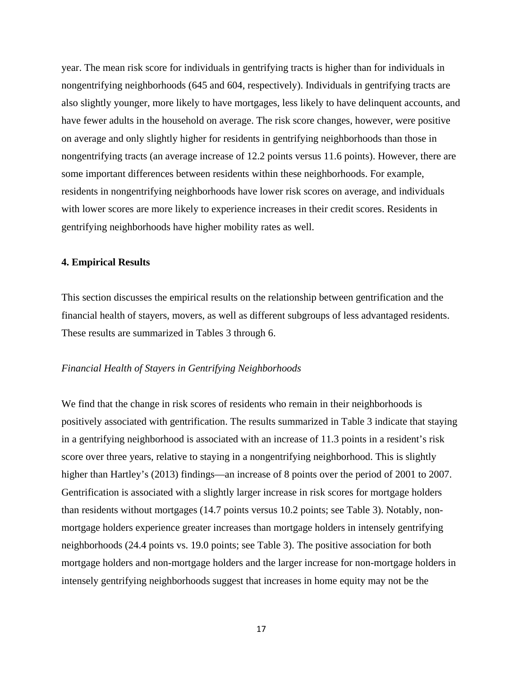year. The mean risk score for individuals in gentrifying tracts is higher than for individuals in nongentrifying neighborhoods (645 and 604, respectively). Individuals in gentrifying tracts are also slightly younger, more likely to have mortgages, less likely to have delinquent accounts, and have fewer adults in the household on average. The risk score changes, however, were positive on average and only slightly higher for residents in gentrifying neighborhoods than those in nongentrifying tracts (an average increase of 12.2 points versus 11.6 points). However, there are some important differences between residents within these neighborhoods. For example, residents in nongentrifying neighborhoods have lower risk scores on average, and individuals with lower scores are more likely to experience increases in their credit scores. Residents in gentrifying neighborhoods have higher mobility rates as well.

### **4. Empirical Results**

This section discusses the empirical results on the relationship between gentrification and the financial health of stayers, movers, as well as different subgroups of less advantaged residents. These results are summarized in Tables 3 through 6.

### *Financial Health of Stayers in Gentrifying Neighborhoods*

We find that the change in risk scores of residents who remain in their neighborhoods is positively associated with gentrification. The results summarized in Table 3 indicate that staying in a gentrifying neighborhood is associated with an increase of 11.3 points in a resident's risk score over three years, relative to staying in a nongentrifying neighborhood. This is slightly higher than Hartley's (2013) findings—an increase of 8 points over the period of 2001 to 2007. Gentrification is associated with a slightly larger increase in risk scores for mortgage holders than residents without mortgages (14.7 points versus 10.2 points; see Table 3). Notably, nonmortgage holders experience greater increases than mortgage holders in intensely gentrifying neighborhoods (24.4 points vs. 19.0 points; see Table 3). The positive association for both mortgage holders and non-mortgage holders and the larger increase for non-mortgage holders in intensely gentrifying neighborhoods suggest that increases in home equity may not be the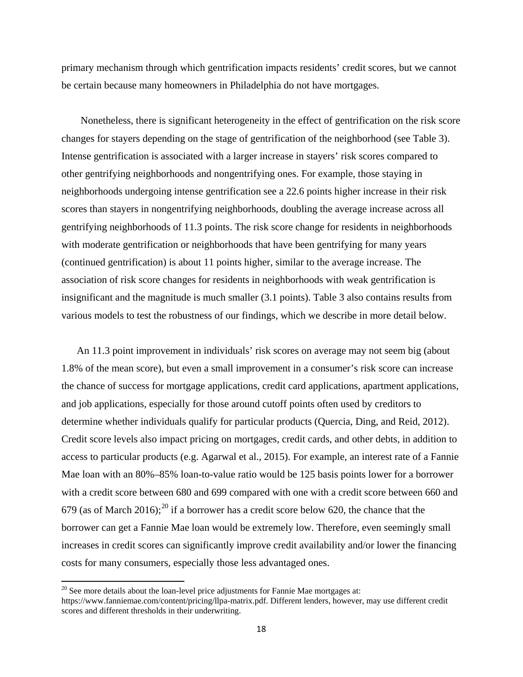primary mechanism through which gentrification impacts residents' credit scores, but we cannot be certain because many homeowners in Philadelphia do not have mortgages.

Nonetheless, there is significant heterogeneity in the effect of gentrification on the risk score changes for stayers depending on the stage of gentrification of the neighborhood (see Table 3). Intense gentrification is associated with a larger increase in stayers' risk scores compared to other gentrifying neighborhoods and nongentrifying ones. For example, those staying in neighborhoods undergoing intense gentrification see a 22.6 points higher increase in their risk scores than stayers in nongentrifying neighborhoods, doubling the average increase across all gentrifying neighborhoods of 11.3 points. The risk score change for residents in neighborhoods with moderate gentrification or neighborhoods that have been gentrifying for many years (continued gentrification) is about 11 points higher, similar to the average increase. The association of risk score changes for residents in neighborhoods with weak gentrification is insignificant and the magnitude is much smaller (3.1 points). Table 3 also contains results from various models to test the robustness of our findings, which we describe in more detail below.

An 11.3 point improvement in individuals' risk scores on average may not seem big (about 1.8% of the mean score), but even a small improvement in a consumer's risk score can increase the chance of success for mortgage applications, credit card applications, apartment applications, and job applications, especially for those around cutoff points often used by creditors to determine whether individuals qualify for particular products (Quercia, Ding, and Reid, 2012). Credit score levels also impact pricing on mortgages, credit cards, and other debts, in addition to access to particular products (e.g. Agarwal et al., 2015). For example, an interest rate of a Fannie Mae loan with an 80%–85% loan-to-value ratio would be 125 basis points lower for a borrower with a credit score between 680 and 699 compared with one with a credit score between 660 and 679 (as of March [20](#page-19-0)16);<sup>20</sup> if a borrower has a credit score below 620, the chance that the borrower can get a Fannie Mae loan would be extremely low. Therefore, even seemingly small increases in credit scores can significantly improve credit availability and/or lower the financing costs for many consumers, especially those less advantaged ones.

l

<span id="page-19-0"></span> $20$  See more details about the loan-level price adjustments for Fannie Mae mortgages at: https://www.fanniemae.com/content/pricing/llpa-matrix.pdf. Different lenders, however, may use different credit scores and different thresholds in their underwriting.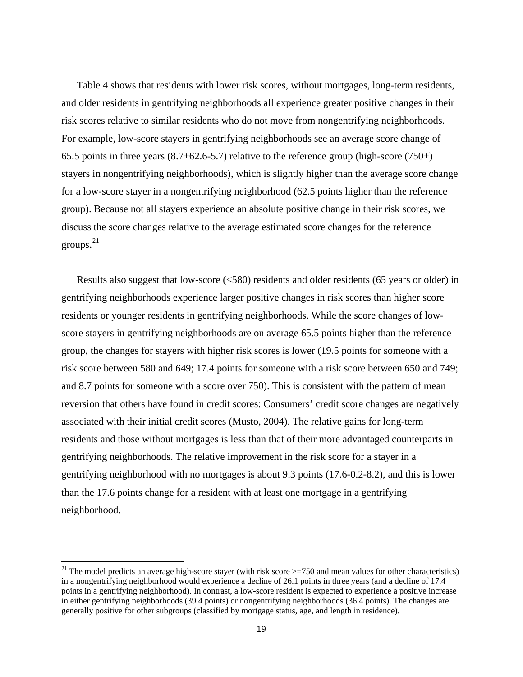Table 4 shows that residents with lower risk scores, without mortgages, long-term residents, and older residents in gentrifying neighborhoods all experience greater positive changes in their risk scores relative to similar residents who do not move from nongentrifying neighborhoods. For example, low-score stayers in gentrifying neighborhoods see an average score change of 65.5 points in three years  $(8.7+62.6-5.7)$  relative to the reference group (high-score  $(750+)$ ) stayers in nongentrifying neighborhoods), which is slightly higher than the average score change for a low-score stayer in a nongentrifying neighborhood (62.5 points higher than the reference group). Because not all stayers experience an absolute positive change in their risk scores, we discuss the score changes relative to the average estimated score changes for the reference groups. [21](#page-20-0)

Results also suggest that low-score (<580) residents and older residents (65 years or older) in gentrifying neighborhoods experience larger positive changes in risk scores than higher score residents or younger residents in gentrifying neighborhoods. While the score changes of lowscore stayers in gentrifying neighborhoods are on average 65.5 points higher than the reference group, the changes for stayers with higher risk scores is lower (19.5 points for someone with a risk score between 580 and 649; 17.4 points for someone with a risk score between 650 and 749; and 8.7 points for someone with a score over 750). This is consistent with the pattern of mean reversion that others have found in credit scores: Consumers' credit score changes are negatively associated with their initial credit scores (Musto, 2004). The relative gains for long-term residents and those without mortgages is less than that of their more advantaged counterparts in gentrifying neighborhoods. The relative improvement in the risk score for a stayer in a gentrifying neighborhood with no mortgages is about 9.3 points (17.6-0.2-8.2), and this is lower than the 17.6 points change for a resident with at least one mortgage in a gentrifying neighborhood.

 $\overline{\phantom{a}}$ 

<span id="page-20-0"></span><sup>&</sup>lt;sup>21</sup> The model predicts an average high-score stayer (with risk score  $\geq$ =750 and mean values for other characteristics) in a nongentrifying neighborhood would experience a decline of 26.1 points in three years (and a decline of 17.4 points in a gentrifying neighborhood). In contrast, a low-score resident is expected to experience a positive increase in either gentrifying neighborhoods (39.4 points) or nongentrifying neighborhoods (36.4 points). The changes are generally positive for other subgroups (classified by mortgage status, age, and length in residence).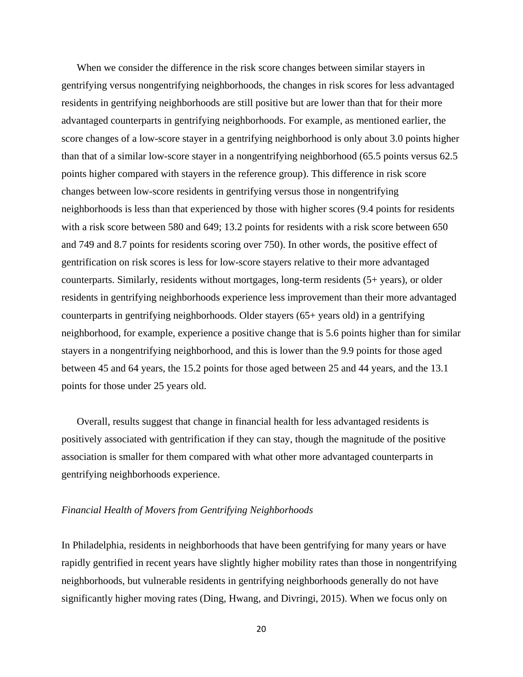When we consider the difference in the risk score changes between similar stayers in gentrifying versus nongentrifying neighborhoods, the changes in risk scores for less advantaged residents in gentrifying neighborhoods are still positive but are lower than that for their more advantaged counterparts in gentrifying neighborhoods. For example, as mentioned earlier, the score changes of a low-score stayer in a gentrifying neighborhood is only about 3.0 points higher than that of a similar low-score stayer in a nongentrifying neighborhood (65.5 points versus 62.5 points higher compared with stayers in the reference group). This difference in risk score changes between low-score residents in gentrifying versus those in nongentrifying neighborhoods is less than that experienced by those with higher scores (9.4 points for residents with a risk score between 580 and 649; 13.2 points for residents with a risk score between 650 and 749 and 8.7 points for residents scoring over 750). In other words, the positive effect of gentrification on risk scores is less for low-score stayers relative to their more advantaged counterparts. Similarly, residents without mortgages, long-term residents (5+ years), or older residents in gentrifying neighborhoods experience less improvement than their more advantaged counterparts in gentrifying neighborhoods. Older stayers (65+ years old) in a gentrifying neighborhood, for example, experience a positive change that is 5.6 points higher than for similar stayers in a nongentrifying neighborhood, and this is lower than the 9.9 points for those aged between 45 and 64 years, the 15.2 points for those aged between 25 and 44 years, and the 13.1 points for those under 25 years old.

Overall, results suggest that change in financial health for less advantaged residents is positively associated with gentrification if they can stay, though the magnitude of the positive association is smaller for them compared with what other more advantaged counterparts in gentrifying neighborhoods experience.

### *Financial Health of Movers from Gentrifying Neighborhoods*

In Philadelphia, residents in neighborhoods that have been gentrifying for many years or have rapidly gentrified in recent years have slightly higher mobility rates than those in nongentrifying neighborhoods, but vulnerable residents in gentrifying neighborhoods generally do not have significantly higher moving rates (Ding, Hwang, and Divringi, 2015). When we focus only on

20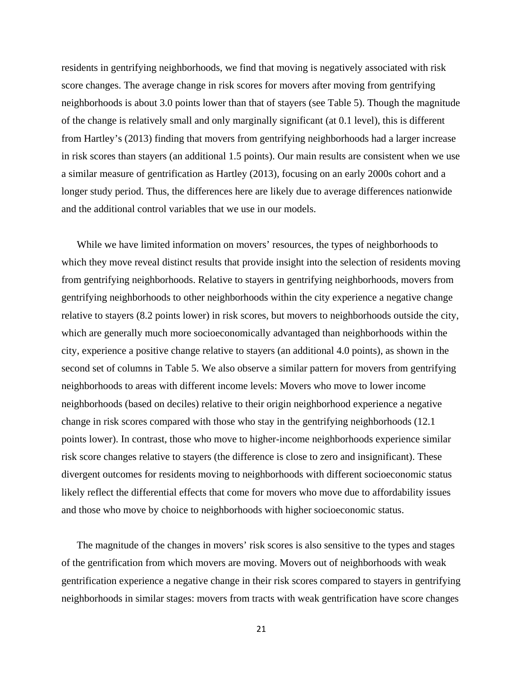residents in gentrifying neighborhoods, we find that moving is negatively associated with risk score changes. The average change in risk scores for movers after moving from gentrifying neighborhoods is about 3.0 points lower than that of stayers (see Table 5). Though the magnitude of the change is relatively small and only marginally significant (at 0.1 level), this is different from Hartley's (2013) finding that movers from gentrifying neighborhoods had a larger increase in risk scores than stayers (an additional 1.5 points). Our main results are consistent when we use a similar measure of gentrification as Hartley (2013), focusing on an early 2000s cohort and a longer study period. Thus, the differences here are likely due to average differences nationwide and the additional control variables that we use in our models.

While we have limited information on movers' resources, the types of neighborhoods to which they move reveal distinct results that provide insight into the selection of residents moving from gentrifying neighborhoods. Relative to stayers in gentrifying neighborhoods, movers from gentrifying neighborhoods to other neighborhoods within the city experience a negative change relative to stayers (8.2 points lower) in risk scores, but movers to neighborhoods outside the city, which are generally much more socioeconomically advantaged than neighborhoods within the city, experience a positive change relative to stayers (an additional 4.0 points), as shown in the second set of columns in Table 5. We also observe a similar pattern for movers from gentrifying neighborhoods to areas with different income levels: Movers who move to lower income neighborhoods (based on deciles) relative to their origin neighborhood experience a negative change in risk scores compared with those who stay in the gentrifying neighborhoods (12.1 points lower). In contrast, those who move to higher-income neighborhoods experience similar risk score changes relative to stayers (the difference is close to zero and insignificant). These divergent outcomes for residents moving to neighborhoods with different socioeconomic status likely reflect the differential effects that come for movers who move due to affordability issues and those who move by choice to neighborhoods with higher socioeconomic status.

The magnitude of the changes in movers' risk scores is also sensitive to the types and stages of the gentrification from which movers are moving. Movers out of neighborhoods with weak gentrification experience a negative change in their risk scores compared to stayers in gentrifying neighborhoods in similar stages: movers from tracts with weak gentrification have score changes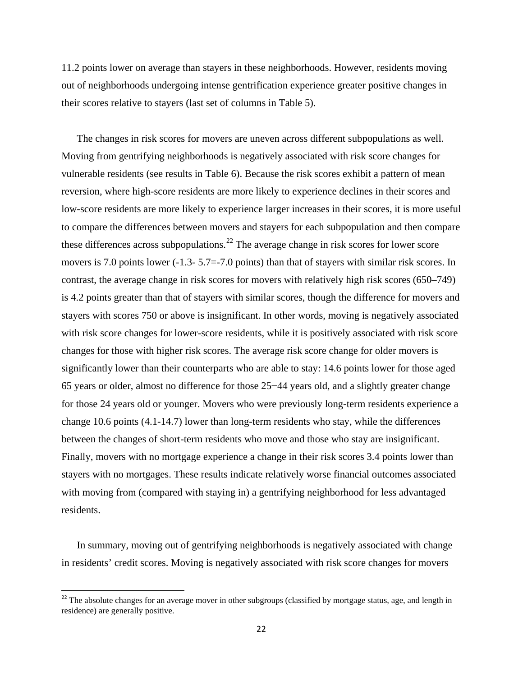11.2 points lower on average than stayers in these neighborhoods. However, residents moving out of neighborhoods undergoing intense gentrification experience greater positive changes in their scores relative to stayers (last set of columns in Table 5).

The changes in risk scores for movers are uneven across different subpopulations as well. Moving from gentrifying neighborhoods is negatively associated with risk score changes for vulnerable residents (see results in Table 6). Because the risk scores exhibit a pattern of mean reversion, where high-score residents are more likely to experience declines in their scores and low-score residents are more likely to experience larger increases in their scores, it is more useful to compare the differences between movers and stayers for each subpopulation and then compare these differences across subpopulations.<sup>[22](#page-23-0)</sup> The average change in risk scores for lower score movers is 7.0 points lower (-1.3- 5.7 = - 7.0 points) than that of stayers with similar risk scores. In contrast, the average change in risk scores for movers with relatively high risk scores (650–749) is 4.2 points greater than that of stayers with similar scores, though the difference for movers and stayers with scores 750 or above is insignificant. In other words, moving is negatively associated with risk score changes for lower-score residents, while it is positively associated with risk score changes for those with higher risk scores. The average risk score change for older movers is significantly lower than their counterparts who are able to stay: 14.6 points lower for those aged 65 years or older, almost no difference for those 25−44 years old, and a slightly greater change for those 24 years old or younger. Movers who were previously long-term residents experience a change 10.6 points (4.1-14.7) lower than long-term residents who stay, while the differences between the changes of short-term residents who move and those who stay are insignificant. Finally, movers with no mortgage experience a change in their risk scores 3.4 points lower than stayers with no mortgages. These results indicate relatively worse financial outcomes associated with moving from (compared with staying in) a gentrifying neighborhood for less advantaged residents.

In summary, moving out of gentrifying neighborhoods is negatively associated with change in residents' credit scores. Moving is negatively associated with risk score changes for movers

<span id="page-23-0"></span><sup>&</sup>lt;sup>22</sup> The absolute changes for an average mover in other subgroups (classified by mortgage status, age, and length in residence) are generally positive.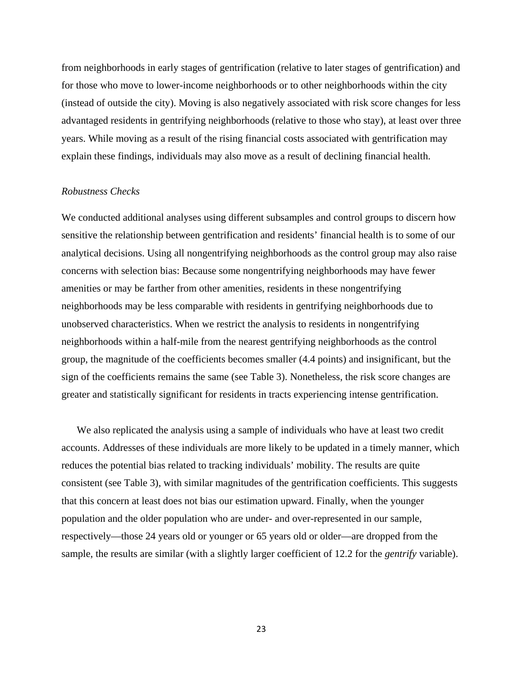from neighborhoods in early stages of gentrification (relative to later stages of gentrification) and for those who move to lower-income neighborhoods or to other neighborhoods within the city (instead of outside the city). Moving is also negatively associated with risk score changes for less advantaged residents in gentrifying neighborhoods (relative to those who stay), at least over three years. While moving as a result of the rising financial costs associated with gentrification may explain these findings, individuals may also move as a result of declining financial health.

### *Robustness Checks*

We conducted additional analyses using different subsamples and control groups to discern how sensitive the relationship between gentrification and residents' financial health is to some of our analytical decisions. Using all nongentrifying neighborhoods as the control group may also raise concerns with selection bias: Because some nongentrifying neighborhoods may have fewer amenities or may be farther from other amenities, residents in these nongentrifying neighborhoods may be less comparable with residents in gentrifying neighborhoods due to unobserved characteristics. When we restrict the analysis to residents in nongentrifying neighborhoods within a half-mile from the nearest gentrifying neighborhoods as the control group, the magnitude of the coefficients becomes smaller (4.4 points) and insignificant, but the sign of the coefficients remains the same (see Table 3). Nonetheless, the risk score changes are greater and statistically significant for residents in tracts experiencing intense gentrification.

We also replicated the analysis using a sample of individuals who have at least two credit accounts. Addresses of these individuals are more likely to be updated in a timely manner, which reduces the potential bias related to tracking individuals' mobility. The results are quite consistent (see Table 3), with similar magnitudes of the gentrification coefficients. This suggests that this concern at least does not bias our estimation upward. Finally, when the younger population and the older population who are under- and over-represented in our sample, respectively—those 24 years old or younger or 65 years old or older—are dropped from the sample, the results are similar (with a slightly larger coefficient of 12.2 for the *gentrify* variable).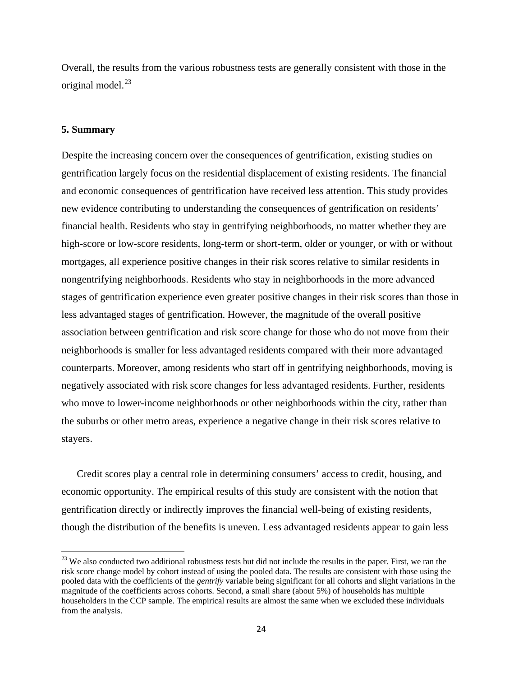Overall, the results from the various robustness tests are generally consistent with those in the original model. [23](#page-25-0)

### **5. Summary**

l

Despite the increasing concern over the consequences of gentrification, existing studies on gentrification largely focus on the residential displacement of existing residents. The financial and economic consequences of gentrification have received less attention. This study provides new evidence contributing to understanding the consequences of gentrification on residents' financial health. Residents who stay in gentrifying neighborhoods, no matter whether they are high-score or low-score residents, long-term or short-term, older or younger, or with or without mortgages, all experience positive changes in their risk scores relative to similar residents in nongentrifying neighborhoods. Residents who stay in neighborhoods in the more advanced stages of gentrification experience even greater positive changes in their risk scores than those in less advantaged stages of gentrification. However, the magnitude of the overall positive association between gentrification and risk score change for those who do not move from their neighborhoods is smaller for less advantaged residents compared with their more advantaged counterparts. Moreover, among residents who start off in gentrifying neighborhoods, moving is negatively associated with risk score changes for less advantaged residents. Further, residents who move to lower-income neighborhoods or other neighborhoods within the city, rather than the suburbs or other metro areas, experience a negative change in their risk scores relative to stayers.

Credit scores play a central role in determining consumers' access to credit, housing, and economic opportunity. The empirical results of this study are consistent with the notion that gentrification directly or indirectly improves the financial well-being of existing residents, though the distribution of the benefits is uneven. Less advantaged residents appear to gain less

<span id="page-25-0"></span> $2<sup>23</sup>$  We also conducted two additional robustness tests but did not include the results in the paper. First, we ran the risk score change model by cohort instead of using the pooled data. The results are consistent with those using the pooled data with the coefficients of the *gentrify* variable being significant for all cohorts and slight variations in the magnitude of the coefficients across cohorts. Second, a small share (about 5%) of households has multiple householders in the CCP sample. The empirical results are almost the same when we excluded these individuals from the analysis.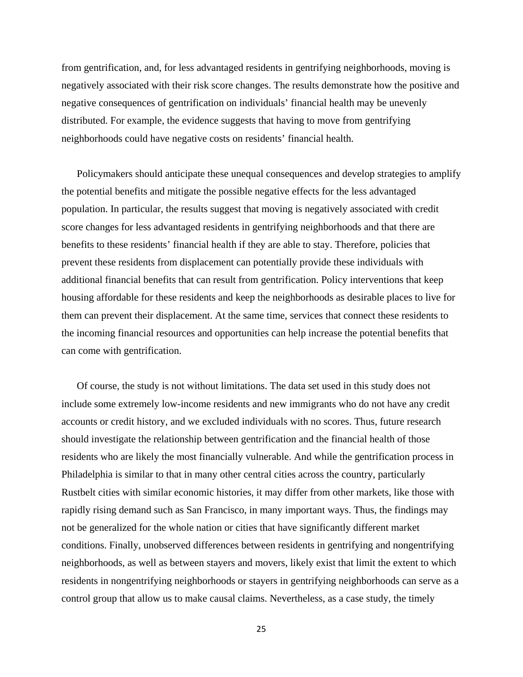from gentrification, and, for less advantaged residents in gentrifying neighborhoods, moving is negatively associated with their risk score changes. The results demonstrate how the positive and negative consequences of gentrification on individuals' financial health may be unevenly distributed. For example, the evidence suggests that having to move from gentrifying neighborhoods could have negative costs on residents' financial health.

Policymakers should anticipate these unequal consequences and develop strategies to amplify the potential benefits and mitigate the possible negative effects for the less advantaged population. In particular, the results suggest that moving is negatively associated with credit score changes for less advantaged residents in gentrifying neighborhoods and that there are benefits to these residents' financial health if they are able to stay. Therefore, policies that prevent these residents from displacement can potentially provide these individuals with additional financial benefits that can result from gentrification. Policy interventions that keep housing affordable for these residents and keep the neighborhoods as desirable places to live for them can prevent their displacement. At the same time, services that connect these residents to the incoming financial resources and opportunities can help increase the potential benefits that can come with gentrification.

Of course, the study is not without limitations. The data set used in this study does not include some extremely low-income residents and new immigrants who do not have any credit accounts or credit history, and we excluded individuals with no scores. Thus, future research should investigate the relationship between gentrification and the financial health of those residents who are likely the most financially vulnerable. And while the gentrification process in Philadelphia is similar to that in many other central cities across the country, particularly Rustbelt cities with similar economic histories, it may differ from other markets, like those with rapidly rising demand such as San Francisco, in many important ways. Thus, the findings may not be generalized for the whole nation or cities that have significantly different market conditions. Finally, unobserved differences between residents in gentrifying and nongentrifying neighborhoods, as well as between stayers and movers, likely exist that limit the extent to which residents in nongentrifying neighborhoods or stayers in gentrifying neighborhoods can serve as a control group that allow us to make causal claims. Nevertheless, as a case study, the timely

25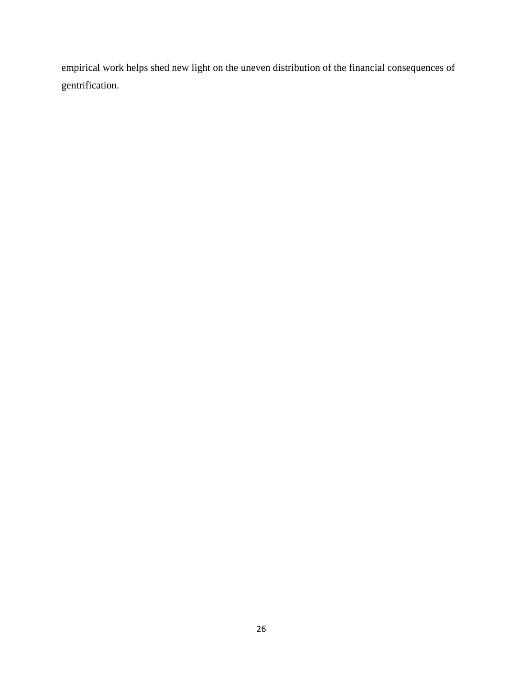empirical work helps shed new light on the uneven distribution of the financial consequences of gentrification.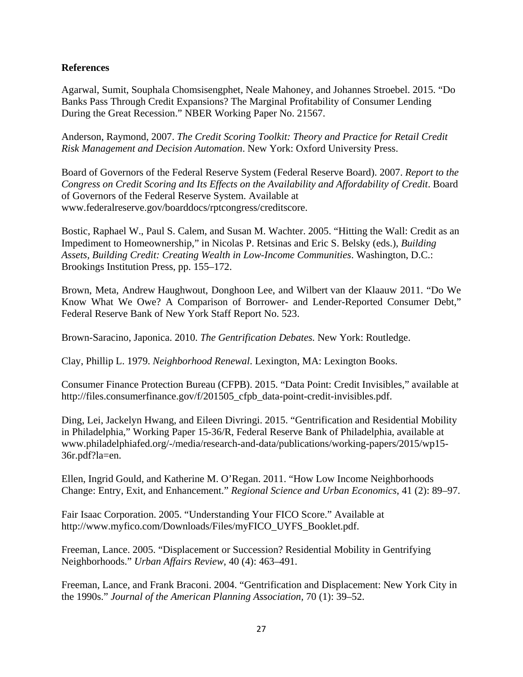### **References**

Agarwal, Sumit, Souphala Chomsisengphet, Neale Mahoney, and Johannes Stroebel. 2015. "Do Banks Pass Through Credit Expansions? The Marginal Profitability of Consumer Lending During the Great Recession." NBER Working Paper No. 21567.

Anderson, Raymond, 2007. *The Credit Scoring Toolkit: Theory and Practice for Retail Credit Risk Management and Decision Automation*. New York: Oxford University Press.

Board of Governors of the Federal Reserve System (Federal Reserve Board). 2007. *Report to the Congress on Credit Scoring and Its Effects on the Availability and Affordability of Credit*. Board of Governors of the Federal Reserve System. Available at www.federalreserve.gov/boarddocs/rptcongress/creditscore.

Bostic, Raphael W., Paul S. Calem, and Susan M. Wachter. 2005. "Hitting the Wall: Credit as an Impediment to Homeownership," in Nicolas P. Retsinas and Eric S. Belsky (eds.), *Building Assets, Building Credit: Creating Wealth in Low-Income Communities*. Washington, D.C.: Brookings Institution Press, pp. 155–172.

Brown, Meta, Andrew [Haughwout,](https://www.newyorkfed.org/research/economists/haughwout/index.html) [Donghoon](https://www.newyorkfed.org/research/economists/lee/index.html) Lee, and Wilbert [van der Klaauw](https://www.newyorkfed.org/research/economists/vanderKlaauw/index.html) 2011. "Do We Know What We Owe? A Comparison of Borrower- and Lender-Reported Consumer Debt," Federal Reserve Bank of New York Staff Report No. 523.

Brown-Saracino, Japonica. 2010. *The Gentrification Debates.* New York: Routledge.

Clay, Phillip L. 1979. *Neighborhood Renewal*. Lexington, MA: Lexington Books.

Consumer Finance Protection Bureau (CFPB). 2015. "Data Point: Credit Invisibles," available at http://files.consumerfinance.gov/f/201505\_cfpb\_data-point-credit-invisibles.pdf.

Ding, Lei, Jackelyn Hwang, and Eileen Divringi. 2015. "Gentrification and Residential Mobility in Philadelphia," Working Paper 15-36/R, Federal Reserve Bank of Philadelphia, available at www.philadelphiafed.org/-/media/research-and-data/publications/working-papers/2015/wp15- 36r.pdf?la=en.

Ellen, Ingrid Gould, and Katherine M. O'Regan. 2011. "How Low Income Neighborhoods Change: Entry, Exit, and Enhancement." *Regional Science and Urban Economics*, 41 (2): 89–97.

Fair Isaac Corporation. 2005. "Understanding Your FICO Score." Available at http://www.myfico.com/Downloads/Files/myFICO\_UYFS\_Booklet.pdf.

Freeman, Lance. 2005. "Displacement or Succession? Residential Mobility in Gentrifying Neighborhoods." *Urban Affairs Review*, 40 (4): 463–491.

Freeman, Lance, and Frank Braconi. 2004. "Gentrification and Displacement: New York City in the 1990s." *Journal of the American Planning Association,* 70 (1): 39–52.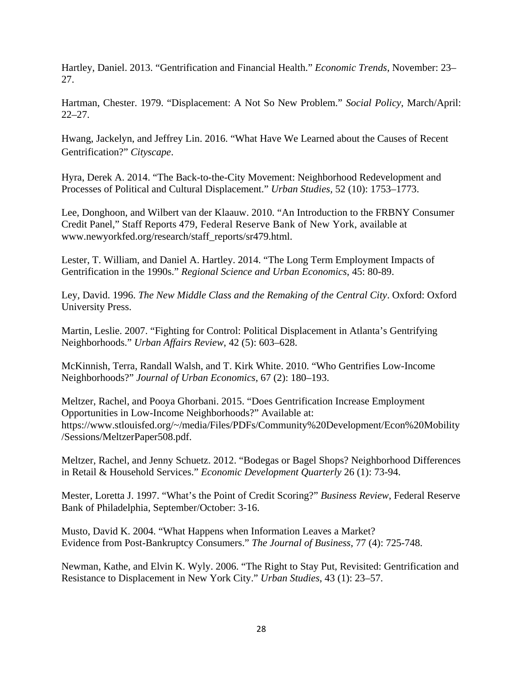Hartley, Daniel. 2013. "Gentrification and Financial Health." *Economic Trends*, November: 23– 27.

Hartman, Chester. 1979. "Displacement: A Not So New Problem." *Social Policy*, March/April: 22–27.

Hwang, Jackelyn, and Jeffrey Lin. 2016. "What Have We Learned about the Causes of Recent Gentrification?" *Cityscape*.

Hyra, Derek A. 2014. "The Back-to-the-City Movement: Neighborhood Redevelopment and Processes of Political and Cultural Displacement." *Urban Studies,* 52 (10): 1753–1773.

Lee, Donghoon, and Wilbert van der Klaauw. 2010. "An Introduction to the FRBNY Consumer Credit Panel," Staff Reports 479, Federal Reserve Bank of New York, available at www.newyorkfed.org/research/staff\_reports/sr479.html.

Lester, T. William, and Daniel A. Hartley. 2014. "The Long Term Employment Impacts of Gentrification in the 1990s." *Regional Science and Urban Economics*, 45: 80-89.

Ley, David. 1996. *The New Middle Class and the Remaking of the Central City*. Oxford: Oxford University Press.

Martin, Leslie. 2007. "Fighting for Control: Political Displacement in Atlanta's Gentrifying Neighborhoods." *Urban Affairs Review*, 42 (5): 603–628.

McKinnish, Terra, Randall Walsh, and T. Kirk White. 2010. "Who Gentrifies Low-Income Neighborhoods?" *Journal of Urban Economics*, 67 (2): 180–193.

Meltzer, Rachel, and Pooya Ghorbani. 2015. "Does Gentrification Increase Employment Opportunities in Low-Income Neighborhoods?" Available at: https://www.stlouisfed.org/~/media/Files/PDFs/Community%20Development/Econ%20Mobility /Sessions/MeltzerPaper508.pdf.

Meltzer, Rachel, and Jenny Schuetz. 2012. "Bodegas or Bagel Shops? Neighborhood Differences in Retail & Household Services." *Economic Development Quarterly* 26 (1): 73-94.

Mester, Loretta J. 1997. "What's the Point of Credit Scoring?" *Business Review*, Federal Reserve Bank of Philadelphia, September/October: 3-16.

Musto, David K. 2004. "What Happens when Information Leaves a Market? Evidence from Post-Bankruptcy Consumers." *The Journal of Business*, 77 (4): 725-748.

Newman, Kathe, and Elvin K. Wyly. 2006. "The Right to Stay Put, Revisited: Gentrification and Resistance to Displacement in New York City." *Urban Studies*, 43 (1): 23–57.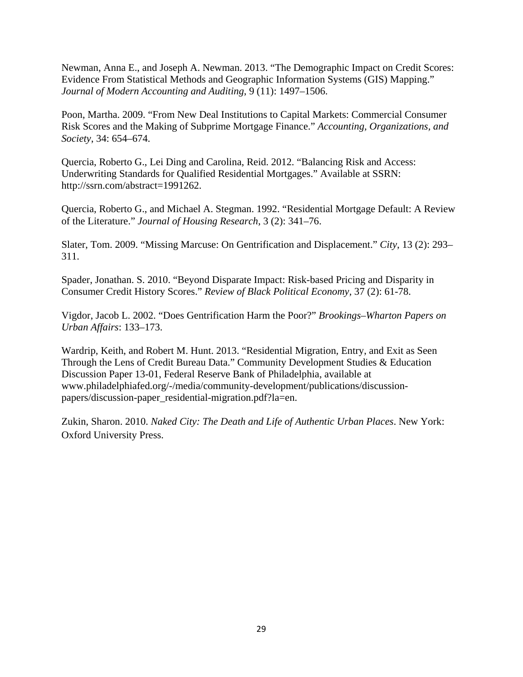Newman, Anna E., and Joseph A. Newman. 2013. "The Demographic Impact on Credit Scores: Evidence From Statistical Methods and Geographic Information Systems (GIS) Mapping." *Journal of Modern Accounting and Auditing*, 9 (11): 1497–1506.

Poon, Martha. 2009. "From New Deal Institutions to Capital Markets: Commercial Consumer Risk Scores and the Making of Subprime Mortgage Finance." *Accounting, Organizations, and Society*, 34: 654–674.

Quercia, Roberto G., Lei Ding and Carolina, Reid. 2012. "Balancing Risk and Access: Underwriting Standards for Qualified Residential Mortgages." Available at SSRN: http://ssrn.com/abstract=1991262.

Quercia, Roberto G., and Michael A. Stegman. 1992. "Residential Mortgage Default: A Review of the Literature." *Journal of Housing Research*, 3 (2): 341–76.

Slater, Tom. 2009. "Missing Marcuse: On Gentrification and Displacement." *City*, 13 (2): 293– 311.

Spader, Jonathan. S. 2010. "Beyond Disparate Impact: Risk-based Pricing and Disparity in Consumer Credit History Scores." *Review of Black Political Economy,* 37 (2): 61-78.

Vigdor, Jacob L. 2002. "Does Gentrification Harm the Poor?" *Brookings–Wharton Papers on Urban Affairs*: 133–173.

Wardrip, Keith, and Robert M. Hunt. 2013. "Residential Migration, Entry, and Exit as Seen Through the Lens of Credit Bureau Data." Community Development Studies & Education Discussion Paper 13-01, Federal Reserve Bank of Philadelphia, available at www.philadelphiafed.org/-/media/community-development/publications/discussionpapers/discussion-paper\_residential-migration.pdf?la=en.

Zukin, Sharon. 2010. *Naked City: The Death and Life of Authentic Urban Places*. New York: Oxford University Press.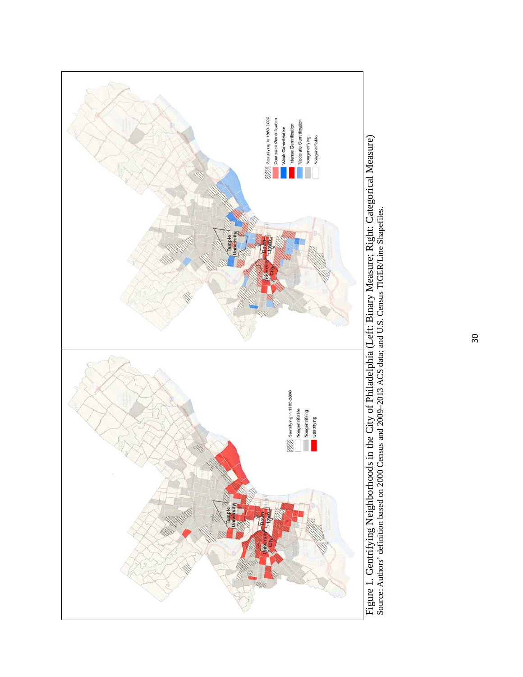

<sup>30</sup>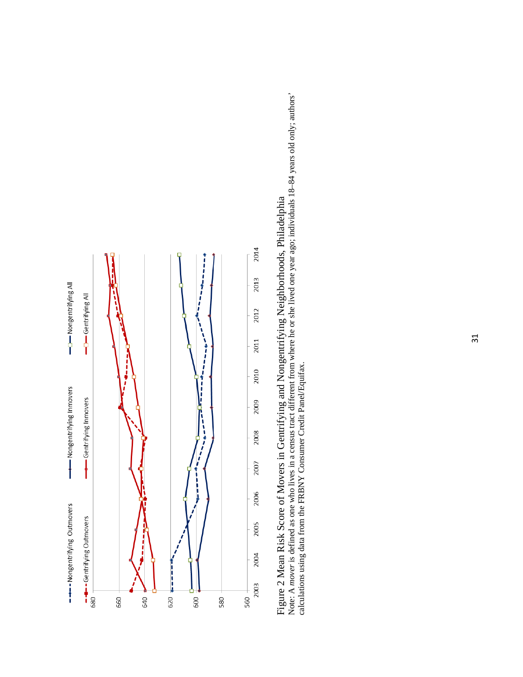

Figure 2 Mean Risk Score of Movers in Gentrifying and Nongentrifying Neighborhoods, Philadelphia<br>Note: A mover is defined as one who lives in a census tract different from where he or she lived one year ago; individuals 18 Note: A *mover* is defined as one who lives in a census tract different from where he or she lived one year ago; individuals 18–84 years old only; authors' Figure 2 Mean Risk Score of Movers in Gentrifying and Nongentrifying Neighborhoods, Philadelphia calculations using data from the FRBNY Consumer Credit Panel/Equifax.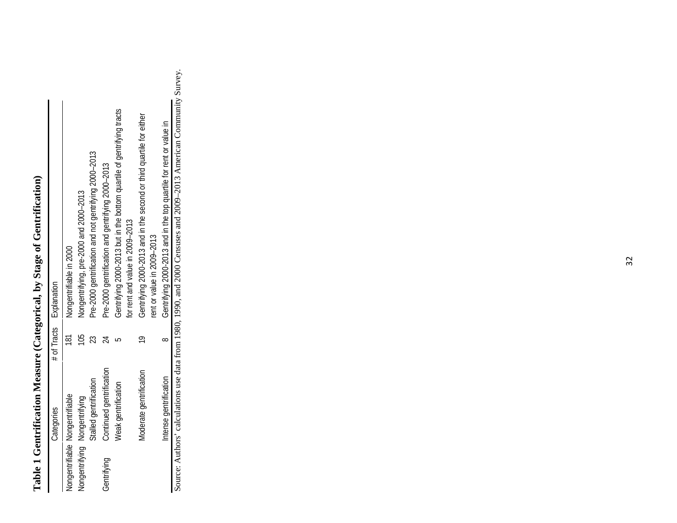# Table 1 Gentrification Measure (Categorical, by Stage of Gentrification) **Table 1 Gentrification Measure (Categorical, by Stage of Gentrification)**

|             | Categories                      |   | # of Tracts Explanation                                                                                   |
|-------------|---------------------------------|---|-----------------------------------------------------------------------------------------------------------|
|             | Nongentrifiable Nongentrifiable |   | Nongentrifiable in 2000                                                                                   |
|             | Nongentrifying Nongentrifying   | S | Nongentrifying, pre-2000 and 2000-2013                                                                    |
|             | Stalled gentrification          |   | Pre-2000 gentrification and not gentrifying 2000-2013                                                     |
| Gentrifying | Continued gentrification        |   | Pre-2000 gentrification and gentrifying 2000-2013                                                         |
|             | <b>Neak gentrification</b>      |   | Gentrifying 2000-2013 but in the bottom quartile of gentrifying tracts<br>for rent and value in 2009-2013 |
|             | Moderate gentrification         |   | Gentrifying 2000-2013 and in the second or third quartile for either<br>rent or value in 2009-2013        |
|             | Intense gentrification          |   | Gentrifying 2000-2013 and in the top quartile for rent or value in                                        |

Intense gentification<br>Source: Authors' calculations use data from 1980, 1990, and 2000 Censuses and 2009–2013 American Community Survey. Source: Authors' calculations use data from 1980, 1990, and 2000 Censuses and 2009–2013 American Community Survey.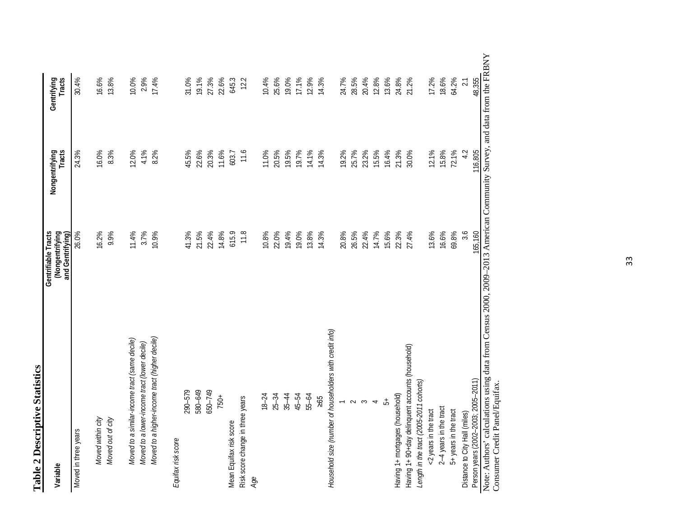| 3                  |  |
|--------------------|--|
| i<br>Ť             |  |
| Ξ                  |  |
| escript<br>∪<br>בס |  |
|                    |  |
| ÷,                 |  |

| Variable                                                 | Gentrifiable Tracts<br>(Nongentrifying<br>and Gentrifying) | Nongentrifying<br>Tracts | Gentrifying<br>Tracts |
|----------------------------------------------------------|------------------------------------------------------------|--------------------------|-----------------------|
| Moved in three years                                     | 26.0%                                                      | 24.3%                    | 30.4%                 |
| Moved within city                                        | 16.2%                                                      | 16.0%                    | 16.6%                 |
| Moved out of city                                        | 9.9%                                                       | 8.3%                     | 13.8%                 |
| Moved to a similar-income tract (same decile)            | 11.4%                                                      | 12.0%                    | 10.0%                 |
| Moved to a lower-income tract (lower decile)             | 3.7%                                                       | 4.1%                     | 2.9%                  |
| Moved to a higher-income tract (higher decile)           | 10.9%                                                      | 8.2%                     | 17.4%                 |
| Equifax risk score                                       |                                                            |                          |                       |
| 290-579                                                  | 41.3%                                                      | 45.5%                    | 31.0%                 |
| 580-649                                                  | 21.5%                                                      | 22.6%                    | 19.1%                 |
| 650-749                                                  | 22.4%                                                      | 20.3%                    | 27.3%                 |
| 750+                                                     | 14.8%                                                      | 11.6%                    | 22.6%                 |
| Mean Equifax risk score                                  | 615.9                                                      | 603.7                    | 645.3                 |
| Risk score change in three years<br>Age                  | 11.8                                                       | 11.6                     | 12.2                  |
| $18 - 24$                                                | 10.8%                                                      | 11.0%                    | 10.4%                 |
| $25 - 34$                                                | 22.0%                                                      | 20.5%                    | 25.6%                 |
| $35 - 44$                                                | 19.4%                                                      | 19.5%                    | 19.0%                 |
| 45-54                                                    | 19.0%                                                      | 19.7%                    | 17.1%                 |
| 55-64                                                    | 13.8%                                                      | 14.1%                    | 12.9%                 |
| 295                                                      | 14.3%                                                      | 14.3%                    | 14.3%                 |
| Household size (number of householders with credit info) |                                                            |                          |                       |
|                                                          | 20.8%                                                      | 19.2%                    | 24.7%                 |
| $\sim$                                                   | 26.5%                                                      | 25.7%                    | 28.5%                 |
| $\sim$                                                   | 22.4%                                                      | 23.2%                    | 20.4%                 |
| $\overline{\phantom{a}}$                                 | 14.7%                                                      | 15.5%                    | 12.8%                 |
| 5                                                        | 15.6%                                                      | 16.4%                    | 13.6%                 |
| Having 1+ mortgages (household)                          | 22.3%                                                      | 21.3%                    | 24.8%                 |
| Having 1+ 90+day delinquent accounts (household)         | 27.4%                                                      | 30.0%                    | 21.2%                 |
| Length in the tract (2005-2011 cohorts)                  |                                                            |                          |                       |
| <2 years in the tract                                    | 13.6%                                                      | 12.1%                    | 17.2%                 |
| 2-4 years in the tract                                   | 16.6%                                                      | 15.8%                    | 18.6%                 |
| 5+ years in the tract                                    | 69.8%                                                      | 72.1%                    | 64.2%                 |
| Distance to City Hall (miles)                            | 3.6                                                        | 4.2                      | 2.1                   |
| Person years (2002-2003; 2005-2011)                      | 165,160                                                    | 116,805                  | 48,355                |

 $\mathbf{y}$ Note: Authors' calculations using data from Census 2000, 2009–2013 American Community Survey, and data from the FRBNY anary and your control control of the American School Consumer Credit Panel/Equifax. Consumer Credit Panel/Equifax.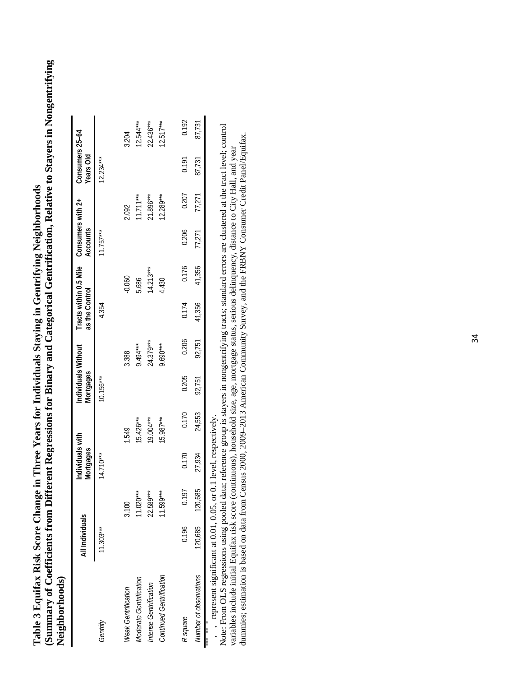(Summary of Coefficients from Different Regressions for Binary and Categorical Gentrification, Relative to Stayers in Nongentrifying **(Summary of Coefficients from Different Regressions for Binary and Categorical Gentrification, Relative to Stayers in Nongentrifying Table 3 Equifax Risk Score Change in Three Years for Individuals Staying in Gentrifying Neighborhoods**  Table 3 Equifax Risk Score Change in Three Years for Individuals Staying in Gentrifying Neighborhoods Neighborhoods) **Neighborhoods)**

| $($ compared to the property of $\sim$                                                                                                                                        |                 |             |                                      |             |                                  |            |                |             |                                                      |             |                              |             |
|-------------------------------------------------------------------------------------------------------------------------------------------------------------------------------|-----------------|-------------|--------------------------------------|-------------|----------------------------------|------------|----------------|-------------|------------------------------------------------------|-------------|------------------------------|-------------|
|                                                                                                                                                                               | All Individuals |             | Individuals with<br><b>Mortgages</b> |             | Individuals Without<br>Mortgages |            | as the Control |             | Tracts within 0.5 Mile Consumers with 2+<br>Accounts |             | Consumers 25-64<br>Years Old |             |
| Gentrify                                                                                                                                                                      | $1.303***$      |             | $14.710***$                          |             | $10.156***$                      |            | 4.354          |             | $11.757***$                                          |             | $12.234***$                  |             |
| Weak Gentrification                                                                                                                                                           |                 | 3.100       |                                      | 1.549       |                                  | 3.388      |                | $-0.060$    |                                                      | 2.092       |                              | 3.204       |
| Moderate Gentrification                                                                                                                                                       |                 | $1.020***$  |                                      | $15.426***$ |                                  | 9.494***   |                | 5.686       |                                                      | $11.711***$ |                              | $12.544***$ |
| Intense Gentrification                                                                                                                                                        |                 | 22.589***   |                                      | 19.004***   |                                  | 24.379***  |                | $14.213***$ |                                                      | 21.896***   |                              | $22.436***$ |
| Continued Gentrification                                                                                                                                                      |                 | $11.599***$ |                                      | $15.987***$ |                                  | $9.690***$ |                | 4.430       |                                                      | $12.289***$ |                              | $12.517***$ |
| R square                                                                                                                                                                      | 0.196           | 0.197       | 0.170                                | 0.170       | 0.205                            | 0.206      | 0.174          | 0.176       | 0.206                                                | 0.207       | 0.191                        | 0.192       |
| Number of observations                                                                                                                                                        | 120,685         | 120,685     | 27,934                               | 24,553      | 92,751                           | 92,751     | 41,356         | 41,356      | 77,271                                               | 77,271      | 87,731                       | 87,731      |
| $\ldots$ $\ldots$ $\ldots$ $\ldots$ $\ldots$ $\ldots$ $\Omega$ $\ldots$ $\Omega$ $\ldots$ $\Omega$ $\ldots$ $\Omega$ $\ldots$ $\ldots$ $\ldots$ $\ldots$ $\ldots$<br>* ** *** |                 |             |                                      |             |                                  |            |                |             |                                                      |             |                              |             |

, , represent significant at 0.01, 0.05, or 0.1 level, respectively.

Note: From OLS regressions using pooled data; reference group is stayers in nongentrifying tracts; standard errors are clustered at the tract level; control dummies; estimation is based on data from Census 2000, 2009-2013 American Community Survey, and the FRBNY Consumer Credit Panel/Equifax. dummies; estimation is based on data from Census 2000, 2009–2013 American Community Survey, and the FRBNY Consumer Credit Panel/Equifax.variables include initial Equifax risk score (continuous), household size, age, mortgage status, serious delinquency, distance to City Hall, and year variables include initial Equifax risk score (continuous), household size, age, mortgage status, serious delinquency, distance to City Hall, and year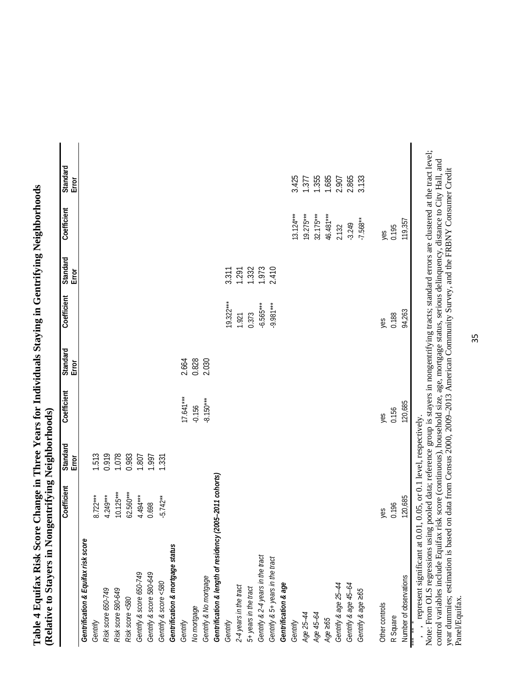|                                                                    | Coefficient | Standard<br>Error | Coefficient | Standard<br>Error | Coefficient | Standard<br>Error | Coefficient | Standard<br>Error |
|--------------------------------------------------------------------|-------------|-------------------|-------------|-------------------|-------------|-------------------|-------------|-------------------|
| Gentrification & Equifax risk score                                |             |                   |             |                   |             |                   |             |                   |
| Gentrify                                                           | $8.722***$  | 1.513             |             |                   |             |                   |             |                   |
| Risk score 650-749                                                 | $4.249***$  | 0.919             |             |                   |             |                   |             |                   |
| Risk score 580-649                                                 | $10.125***$ | 1.078             |             |                   |             |                   |             |                   |
| Risk score <580                                                    | $62.560***$ | 0.983             |             |                   |             |                   |             |                   |
| Gentrify & score 650-749                                           | $4.494***$  | 1.807             |             |                   |             |                   |             |                   |
| Gentrify & score 580-649                                           | 0.698       | 1,997             |             |                   |             |                   |             |                   |
| Gentrify & score <580                                              | $-5.742**$  | 1.331             |             |                   |             |                   |             |                   |
| Gentrification & mortgage status                                   |             |                   |             |                   |             |                   |             |                   |
| Gentrify                                                           |             |                   | $17.641***$ | 2.664             |             |                   |             |                   |
| No mortgage                                                        |             |                   | $-0.156$    | 0.828             |             |                   |             |                   |
| Gentrify & No mortgage                                             |             |                   | $-8.150***$ | 2.030             |             |                   |             |                   |
| Gentrification & length of residency (2005-2011 cohorts)           |             |                   |             |                   |             |                   |             |                   |
| Gentrify                                                           |             |                   |             |                   | $19.322***$ | 3.311             |             |                   |
| 2-4 years in the tract                                             |             |                   |             |                   | 1.921       | 1.291             |             |                   |
| 5+ years in the tract                                              |             |                   |             |                   | 0.373       | 1.332             |             |                   |
| Gentrify & 2-4 years in the tract                                  |             |                   |             |                   | $-6.565***$ | 1.973             |             |                   |
| Gentrify & 5+ years in the tract                                   |             |                   |             |                   | $-9.981***$ | 2.410             |             |                   |
| Gentrification & age                                               |             |                   |             |                   |             |                   |             |                   |
| Gentrify                                                           |             |                   |             |                   |             |                   | $13.124***$ | 3.425             |
| Age 25-44                                                          |             |                   |             |                   |             |                   | $19.275***$ | 1.377             |
| Age 45-64                                                          |             |                   |             |                   |             |                   | $32.175***$ | 1.355             |
| Age $\geq 65$                                                      |             |                   |             |                   |             |                   | 46.481***   | 1.685             |
| Gentrify & age 25-44                                               |             |                   |             |                   |             |                   | 2.132       | 2.907             |
| Gentrify & age 45-64                                               |             |                   |             |                   |             |                   | $-3.249$    | 2.865             |
| Gentrify & age 265                                                 |             |                   |             |                   |             |                   | $-7.568**$  | 3.133             |
| Other controls                                                     | yes         |                   | yes         |                   | yes         |                   | yes         |                   |
| R Square                                                           | 0.196       |                   | 0.156       |                   | 0.188       |                   | 0.195       |                   |
| Number of observations                                             | 120,685     |                   | 120,685     |                   | 94,263      |                   | 119,357     |                   |
| , represent significant at 0.01, 0.05, or 0.1 level, respectively. |             |                   |             |                   |             |                   |             |                   |

Note: From OLS regressions using pooled data; reference group is stayers in nongentrifying tracts; standard errors are clustered at the tract level; control variables include Equifax risk score (continuous), household size, age, mortgage status, serious delinquency, distance to City Hall, and year dummies; estimation is based on data from Census 2000, 2009–2013 American Community Survey, and the FRBNY Consumer Credit Panel/Equifax.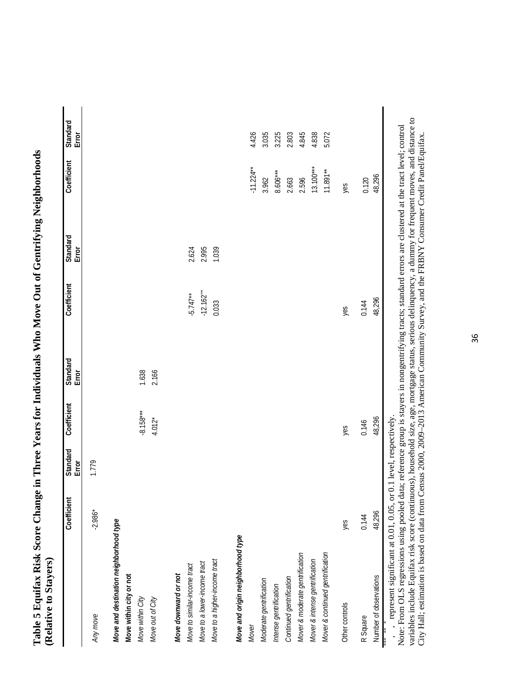|                                                                              | Error                         |
|------------------------------------------------------------------------------|-------------------------------|
|                                                                              | Coefficient Standard          |
|                                                                              | Standard<br>Error             |
| nge in Three Years for Individuals Who Move Out of Gentrifying Neighborhoods | Coefficient                   |
|                                                                              | Error                         |
|                                                                              | standard Coefficient Standard |
|                                                                              | Error                         |
| Table 5 Equifax Risk Score Chan<br>Relative to Stayers)                      | ţ                             |
|                                                                              |                               |

|                                                                                                                                                                                                                                      | Coefficient                                         | Standard<br>$E$ rror | Coefficient                      | Standard<br>Error | Coefficient                         | Standard<br>Error       | Coefficient                                                                       | Standard<br>Error                                           |
|--------------------------------------------------------------------------------------------------------------------------------------------------------------------------------------------------------------------------------------|-----------------------------------------------------|----------------------|----------------------------------|-------------------|-------------------------------------|-------------------------|-----------------------------------------------------------------------------------|-------------------------------------------------------------|
| Any move                                                                                                                                                                                                                             | $-2.986*$                                           | 1.779                |                                  |                   |                                     |                         |                                                                                   |                                                             |
| Move and destination neighborhood type<br>Move within city or not<br>Move within City<br>Move out of City                                                                                                                            |                                                     |                      | $-8.158***$<br>$4.012*$          | 1.638<br>2.166    |                                     |                         |                                                                                   |                                                             |
| Move to a higher-income tract<br>Move to a lower-income tract<br>Move to similar-income tract<br>Move downward or not                                                                                                                |                                                     |                      |                                  |                   | $-12.162***$<br>$-5.747**$<br>0.033 | 2.624<br>2.995<br>1.039 |                                                                                   |                                                             |
| Move and origin neighborhood type<br>Mover & continued gentrification<br>Mover & moderate gentrification<br>Mover & intense gentrification<br>Continued gentrification<br>Moderate gentrification<br>Intense gentrification<br>Mover |                                                     |                      |                                  |                   |                                     |                         | $13.100***$<br>$-11.224**$<br>$11.891**$<br>$8.606***$<br>3.962<br>2.663<br>2.596 | 4.426<br>4.838<br>3.035<br>3.225<br>2.803<br>4.845<br>5.072 |
| Other controls                                                                                                                                                                                                                       | yes                                                 |                      | yes                              |                   | yes                                 |                         | yes                                                                               |                                                             |
| Number of observations<br>R Square                                                                                                                                                                                                   | $\frac{1}{2}$<br>48,296<br>0.144<br>$\tilde{\zeta}$ | .<br>۳               | 48,296<br>0.146<br>$\frac{1}{2}$ |                   | 48,296<br>0.144                     |                         | 48,296<br>0.120                                                                   |                                                             |

, \*\* , \* represent significant at 0.01, 0.05, or 0.1 level, respectively.

variables include Equifax risk score (continuous), household size, age, mortgage status, serious delinquency, a dummy for frequent moves, and distance to<br>City Hall; estimation is based on data from Census 2000, 2009–2013 A variables include Equifax risk score (continuous), household size, age, mortgage status, serious delinquency, a dummy for frequent moves, and distance to Note: From OLS regressions using pooled data; reference group is stayers in nongentrifying tracts; standard errors are clustered at the tract level; control City Hall; estimation is based on data from Census 2000, 2009–2013 American Community Survey, and the FRBNY Consumer Credit Panel/Equifax.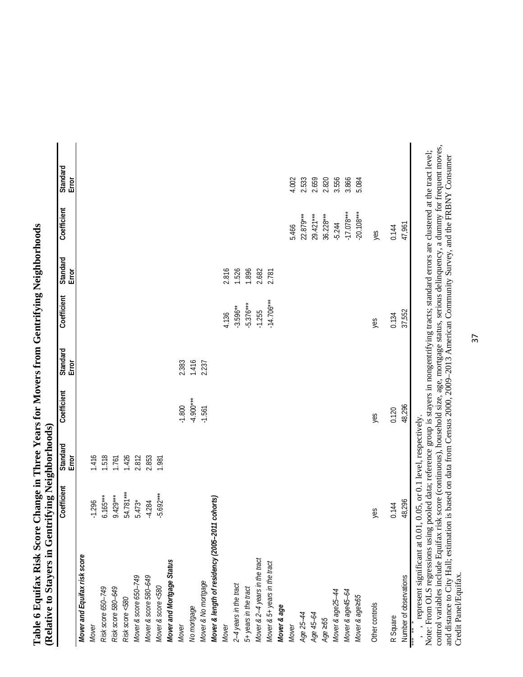| (Relative to Stayers in Gentrifying Neighborhoods)      |             |                   |             |                   |              |                         |              |                   |
|---------------------------------------------------------|-------------|-------------------|-------------|-------------------|--------------|-------------------------|--------------|-------------------|
|                                                         | Coefficient | Standard<br>Error | Coefficient | Standard<br>Error | Coefficient  | Standard<br>par<br>Erro | Coefficient  | Standard<br>Error |
| Mover and Equifax risk score                            |             |                   |             |                   |              |                         |              |                   |
| Mover                                                   | $-1.296$    | 1.416             |             |                   |              |                         |              |                   |
| Risk score 650-749                                      | $6.165***$  | 1.518             |             |                   |              |                         |              |                   |
| Risk score 580-649                                      | $9.429***$  | 1.761             |             |                   |              |                         |              |                   |
| Risk score <580                                         | 54.781***   | 1.426             |             |                   |              |                         |              |                   |
| Mover & score 650-749                                   | $5.473*$    | 2.812             |             |                   |              |                         |              |                   |
| Mover & score 580-649<br>Mover & score <580             | $-4.284$    | 2.853             |             |                   |              |                         |              |                   |
|                                                         | $-5.692***$ | 1.981             |             |                   |              |                         |              |                   |
| Mover and Mortgage Status                               |             |                   |             |                   |              |                         |              |                   |
| Mover                                                   |             |                   | $-1.800$    | 2.383             |              |                         |              |                   |
| No mortgage                                             |             |                   | $-4.900***$ | 1.416             |              |                         |              |                   |
| Mover & No mortgage                                     |             |                   | $-1.561$    | 2.237             |              |                         |              |                   |
| Mover & length of residency (2005-2011                  | cohorts)    |                   |             |                   |              |                         |              |                   |
| Mover                                                   |             |                   |             |                   | 4.136        | 2.816                   |              |                   |
| 2-4 years in the tract                                  |             |                   |             |                   | $-3.596**$   | 1.526                   |              |                   |
|                                                         |             |                   |             |                   | $-5.376***$  | 1.896                   |              |                   |
| 5+ years in the tract<br>Mover & 2–4 years in the tract |             |                   |             |                   | $-1.255$     | 2.682                   |              |                   |
| Mover & 5+ years in the tract                           |             |                   |             |                   | $-14.706***$ | 2.781                   |              |                   |
| Mover & age                                             |             |                   |             |                   |              |                         |              |                   |
| Mover                                                   |             |                   |             |                   |              |                         | 5.466        | 4.002             |
| Age 25-44                                               |             |                   |             |                   |              |                         | 22.879***    | 2.533             |
| Age 45-64                                               |             |                   |             |                   |              |                         | 29.421***    | 2.659             |
| Age $\geq 65$                                           |             |                   |             |                   |              |                         | $36.228***$  | 2.820             |
| Mover & age25-44                                        |             |                   |             |                   |              |                         | $-5.244$     | 3.556             |
| Mover & age45-64                                        |             |                   |             |                   |              |                         | $-17.078***$ | 3.866             |
| Mover & age265                                          |             |                   |             |                   |              |                         | $-20.108***$ | 5.084             |
| Other controls                                          | yes         |                   | yes         |                   | yes          |                         | yes          |                   |

Table 6 Equifax Risk Score Change in Three Years for Movers from Gentrifying Neighborhoods **Table 6 Equifax Risk Score Change in Three Years for Movers from Gentrifying Neighborhoods** 

\*\*\* , \*\* , \* represent significant at 0.01, 0.05, or 0.1 level, respectively.

48,296 0.144

Number of observations

R Square

R Square 0.144 0.120 0.134 0.144 Number of observations 48,296 48,296 37,552 47,961

0.120<br>48,296

47,961

37,552 0.134

0.144

control variables include Equifax risk score (continuous), household size, age, mortgage status, serious delinquency, a dummy for frequent moves, Note: From OLS regressions using pooled data; reference group is stayers in nongentrifying tracts; standard errors are clustered at the tract level; and distance to City Hall; estimation is based on data from Census 2000, 2009–2013 American Community Survey, and the FRBNY Consumer Credit Panel/Equifax. Credit Panel/Equifax.